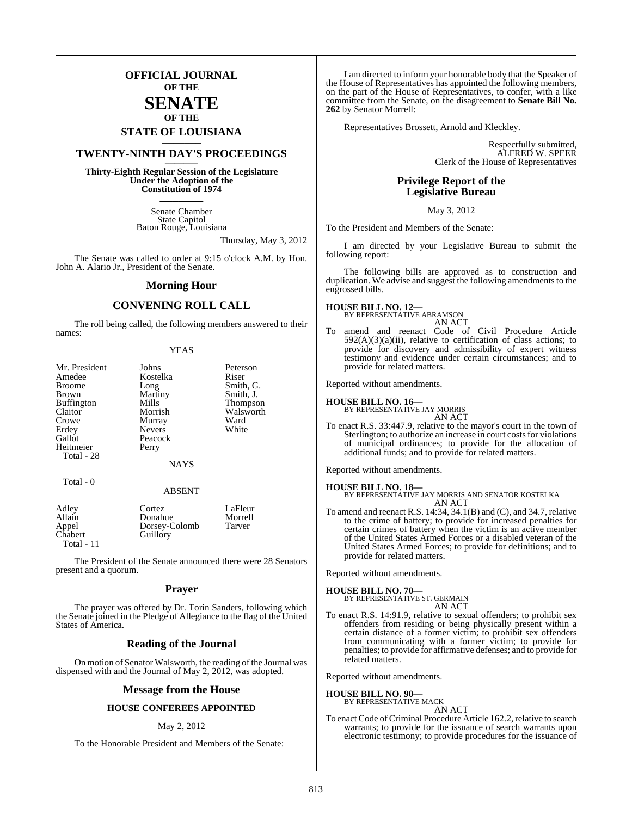### **OFFICIAL JOURNAL OF THE**

### **SENATE OF THE**

# **STATE OF LOUISIANA \_\_\_\_\_\_\_**

### **TWENTY-NINTH DAY'S PROCEEDINGS \_\_\_\_\_\_\_**

**Thirty-Eighth Regular Session of the Legislature Under the Adoption of the Constitution of 1974 \_\_\_\_\_\_\_**

> Senate Chamber State Capitol Baton Rouge, Louisiana

> > Thursday, May 3, 2012

The Senate was called to order at 9:15 o'clock A.M. by Hon. John A. Alario Jr., President of the Senate.

#### **Morning Hour**

#### **CONVENING ROLL CALL**

The roll being called, the following members answered to their names:

| Mr. President     | Johns         | Peterson  |
|-------------------|---------------|-----------|
| Amedee            | Kostelka      | Riser     |
| <b>Broome</b>     | Long          | Smith, C  |
| <b>Brown</b>      | Martiny       | Smith, J. |
| <b>Buffington</b> | Mills         | Thompso   |
| Claitor           | Morrish       | Walswor   |
| Crowe             | Murray        | Ward      |
| Erdey             | <b>Nevers</b> | White     |
| Gallot            | Peacock       |           |
| Heitmeier         | Perry         |           |

| Amedee            | Kostelka      | Riser     |
|-------------------|---------------|-----------|
| <b>Broome</b>     | Long          | Smith, G. |
| Brown             | Martiny       | Smith, J. |
| <b>Buffington</b> | Mills         | Thompson  |
| Claitor           | Morrish       | Walsworth |
| Crowe             | Murray        | Ward      |
| Erdey             | <b>Nevers</b> | White     |
| Gallot            | Peacock       |           |
| Heitmeier         | Perry         |           |
| Total - 28        |               |           |
|                   | <b>NAYS</b>   |           |
| Total - 0         |               |           |
|                   | <b>ABSENT</b> |           |
| Adley             | Cortez        | LaFleur   |
| Allain            | Donahue       | Morrell   |
| Appel             | Dorsey-Colomb | Tarver    |
| Chabert           | Guillory      |           |

Total - 11

The President of the Senate announced there were 28 Senators present and a quorum.

#### **Prayer**

The prayer was offered by Dr. Torin Sanders, following which the Senate joined in the Pledge of Allegiance to the flag of the United States of America.

#### **Reading of the Journal**

On motion of Senator Walsworth, the reading of the Journal was dispensed with and the Journal of May 2, 2012, was adopted.

#### **Message from the House**

#### **HOUSE CONFEREES APPOINTED**

#### May 2, 2012

To the Honorable President and Members of the Senate:

I am directed to inform your honorable body that the Speaker of the House of Representatives has appointed the following members, on the part of the House of Representatives, to confer, with a like committee from the Senate, on the disagreement to **Senate Bill No. 262** by Senator Morrell:

Representatives Brossett, Arnold and Kleckley.

Respectfully submitted, ALFRED W. SPEER Clerk of the House of Representatives

#### **Privilege Report of the Legislative Bureau**

#### May 3, 2012

To the President and Members of the Senate:

I am directed by your Legislative Bureau to submit the following report:

The following bills are approved as to construction and duplication. We advise and suggest the following amendments to the engrossed bills.

#### **HOUSE BILL NO. 12—**

BY REPRESENTATIVE ABRAMSON AN ACT

amend and reenact Code of Civil Procedure Article  $592(A)(3)(a)(ii)$ , relative to certification of class actions: to provide for discovery and admissibility of expert witness testimony and evidence under certain circumstances; and to provide for related matters.

Reported without amendments.

### **HOUSE BILL NO. 16—** BY REPRESENTATIVE JAY MORRIS

AN ACT

To enact R.S. 33:447.9, relative to the mayor's court in the town of Sterlington; to authorize an increase in court costs for violations of municipal ordinances; to provide for the allocation of additional funds; and to provide for related matters.

Reported without amendments.

#### **HOUSE BILL NO. 18—**

BY REPRESENTATIVE JAY MORRIS AND SENATOR KOSTELKA AN ACT

To amend and reenact R.S. 14:34, 34.1(B) and (C), and 34.7, relative to the crime of battery; to provide for increased penalties for certain crimes of battery when the victim is an active member of the United States Armed Forces or a disabled veteran of the United States Armed Forces; to provide for definitions; and to provide for related matters.

Reported without amendments.

#### **HOUSE BILL NO. 70—**

BY REPRESENTATIVE ST. GERMAIN AN ACT

To enact R.S. 14:91.9, relative to sexual offenders; to prohibit sex offenders from residing or being physically present within a certain distance of a former victim; to prohibit sex offenders from communicating with a former victim; to provide for penalties; to provide for affirmative defenses; and to provide for related matters.

Reported without amendments.

#### **HOUSE BILL NO. 90—** BY REPRESENTATIVE MACK

AN ACT

To enact Code of Criminal Procedure Article 162.2, relative to search warrants; to provide for the issuance of search warrants upon electronic testimony; to provide procedures for the issuance of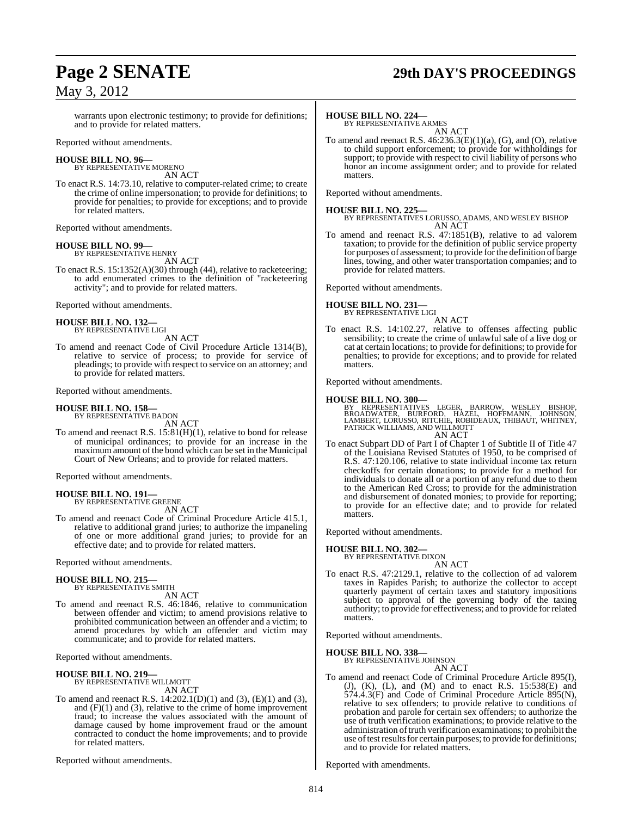# **Page 2 SENATE 29th DAY'S PROCEEDINGS**

warrants upon electronic testimony; to provide for definitions; and to provide for related matters.

Reported without amendments.

#### **HOUSE BILL NO. 96—** BY REPRESENTATIVE MORENO

AN ACT

To enact R.S. 14:73.10, relative to computer-related crime; to create the crime of online impersonation; to provide for definitions; to provide for penalties; to provide for exceptions; and to provide for related matters.

Reported without amendments.

#### **HOUSE BILL NO. 99—**

BY REPRESENTATIVE HENRY AN ACT

To enact R.S. 15:1352(A)(30) through (44), relative to racketeering; to add enumerated crimes to the definition of "racketeering activity"; and to provide for related matters.

Reported without amendments.

#### **HOUSE BILL NO. 132—** BY REPRESENTATIVE LIGI

AN ACT

To amend and reenact Code of Civil Procedure Article 1314(B), relative to service of process; to provide for service of pleadings; to provide with respect to service on an attorney; and to provide for related matters.

Reported without amendments.

#### **HOUSE BILL NO. 158—** BY REPRESENTATIVE BADON

AN ACT

To amend and reenact R.S. 15:81(H)(1), relative to bond for release of municipal ordinances; to provide for an increase in the maximum amount of the bond which can be set in the Municipal Court of New Orleans; and to provide for related matters.

Reported without amendments.

#### **HOUSE BILL NO. 191—**

BY REPRESENTATIVE GREENE

AN ACT To amend and reenact Code of Criminal Procedure Article 415.1, relative to additional grand juries; to authorize the impaneling of one or more additional grand juries; to provide for an effective date; and to provide for related matters.

Reported without amendments.

#### **HOUSE BILL NO. 215—** BY REPRESENTATIVE SMITH

AN ACT

To amend and reenact R.S. 46:1846, relative to communication between offender and victim; to amend provisions relative to prohibited communication between an offender and a victim; to amend procedures by which an offender and victim may communicate; and to provide for related matters.

Reported without amendments.

#### **HOUSE BILL NO. 219—**

BY REPRESENTATIVE WILLMOTT AN ACT

To amend and reenact R.S. 14:202.1(D)(1) and (3), (E)(1) and (3), and  $(F)(1)$  and  $(3)$ , relative to the crime of home improvement fraud; to increase the values associated with the amount of damage caused by home improvement fraud or the amount contracted to conduct the home improvements; and to provide for related matters.

Reported without amendments.

#### **HOUSE BILL NO. 224—**

BY REPRESENTATIVE ARMES AN ACT

To amend and reenact R.S. 46:236.3(E)(1)(a), (G), and (O), relative to child support enforcement; to provide for withholdings for support; to provide with respect to civil liability of persons who honor an income assignment order; and to provide for related matters.

Reported without amendments.

**HOUSE BILL NO. 225—** BY REPRESENTATIVES LORUSSO, ADAMS, AND WESLEY BISHOP AN ACT

To amend and reenact R.S. 47:1851(B), relative to ad valorem taxation; to provide for the definition of public service property for purposes of assessment; to provide forthe definition of barge lines, towing, and other water transportation companies; and to provide for related matters.

Reported without amendments.

### **HOUSE BILL NO. 231—**

BY REPRESENTATIVE LIGI AN ACT

To enact R.S. 14:102.27, relative to offenses affecting public sensibility; to create the crime of unlawful sale of a live dog or cat at certain locations; to provide for definitions; to provide for penalties; to provide for exceptions; and to provide for related matters.

Reported without amendments.

#### **HOUSE BILL NO. 300—**

BY REPRESENTATIVES LEGER, BARROW, WESLEY BISHOP,<br>BROADWATER, BURFORD, HAZEL, HOFFMANN, JOHNSON,<br>LAMBERT,LORUSSO,RITCHIE,ROBIDEAUX,THIBAUT,WHITNEY,<br>PATRICKWILLIAMS,ANDWILLMOTT AN ACT

To enact Subpart DD of Part I of Chapter 1 of Subtitle II of Title 47 of the Louisiana Revised Statutes of 1950, to be comprised of R.S. 47:120.106, relative to state individual income tax return checkoffs for certain donations; to provide for a method for individuals to donate all or a portion of any refund due to them to the American Red Cross; to provide for the administration and disbursement of donated monies; to provide for reporting; to provide for an effective date; and to provide for related matters.

Reported without amendments.

**HOUSE BILL NO. 302—**

BY REPRESENTATIVE DIXON

AN ACT To enact R.S. 47:2129.1, relative to the collection of ad valorem taxes in Rapides Parish; to authorize the collector to accept quarterly payment of certain taxes and statutory impositions subject to approval of the governing body of the taxing authority; to provide for effectiveness; and to provide for related matters.

Reported without amendments.

**HOUSE BILL NO. 338—**

BY REPRESENTATIVE JOHNSON AN ACT

To amend and reenact Code of Criminal Procedure Article 895(I), (J), (K), (L), and (M) and to enact R.S. 15:538(E) and 574.4.3(F) and Code of Criminal Procedure Article 895(N), relative to sex offenders; to provide relative to conditions of probation and parole for certain sex offenders; to authorize the use of truth verification examinations; to provide relative to the administration of truth verification examinations; to prohibit the use of test results for certain purposes; to provide for definitions; and to provide for related matters.

Reported with amendments.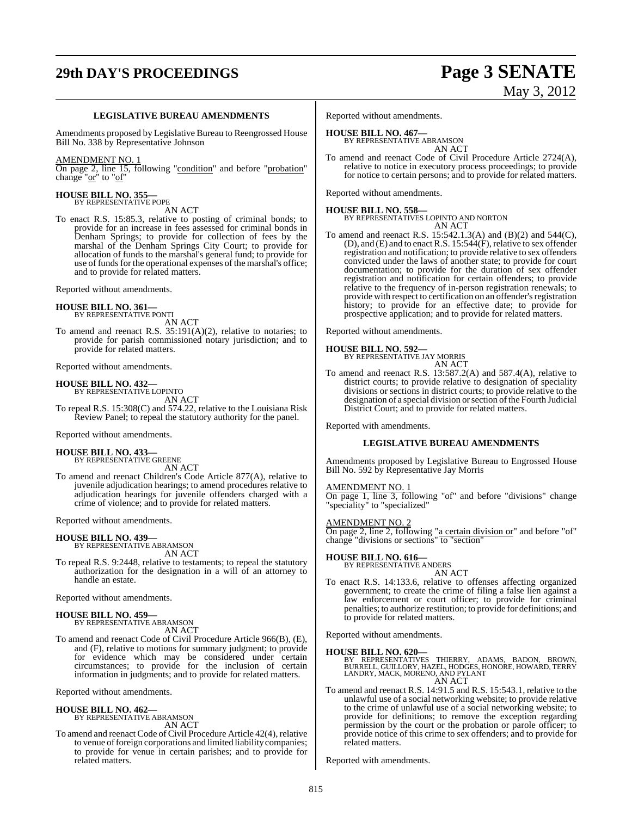# **29th DAY'S PROCEEDINGS Page 3 SENATE**

# May 3, 2012

#### **LEGISLATIVE BUREAU AMENDMENTS**

Amendments proposed by Legislative Bureau to Reengrossed House Bill No. 338 by Representative Johnson

#### AMENDMENT NO. 1

On page 2, line 15, following "condition" and before "probation" change "or" to "of"

#### **HOUSE BILL NO. 355—** BY REPRESENTATIVE POPE

AN ACT

To enact R.S. 15:85.3, relative to posting of criminal bonds; to provide for an increase in fees assessed for criminal bonds in Denham Springs; to provide for collection of fees by the marshal of the Denham Springs City Court; to provide for allocation of funds to the marshal's general fund; to provide for use of funds for the operational expenses of the marshal's office; and to provide for related matters.

Reported without amendments.

#### **HOUSE BILL NO. 361—** BY REPRESENTATIVE PONTI

AN ACT

To amend and reenact R.S. 35:191(A)(2), relative to notaries; to provide for parish commissioned notary jurisdiction; and to provide for related matters.

Reported without amendments.

### **HOUSE BILL NO. 432—** BY REPRESENTATIVE LOPINTO

AN ACT

To repeal R.S. 15:308(C) and 574.22, relative to the Louisiana Risk Review Panel; to repeal the statutory authority for the panel.

Reported without amendments.

### **HOUSE BILL NO. 433—** BY REPRESENTATIVE GREENE

AN ACT

To amend and reenact Children's Code Article 877(A), relative to juvenile adjudication hearings; to amend procedures relative to adjudication hearings for juvenile offenders charged with a crime of violence; and to provide for related matters.

Reported without amendments.

#### **HOUSE BILL NO. 439—**

BY REPRESENTATIVE ABRAMSON AN ACT

To repeal R.S. 9:2448, relative to testaments; to repeal the statutory authorization for the designation in a will of an attorney to handle an estate.

Reported without amendments.

#### **HOUSE BILL NO. 459—**

BY REPRESENTATIVE ABRAMSON AN ACT

To amend and reenact Code of Civil Procedure Article 966(B), (E), and (F), relative to motions for summary judgment; to provide for evidence which may be considered under certain circumstances; to provide for the inclusion of certain information in judgments; and to provide for related matters.

Reported without amendments.

#### **HOUSE BILL NO. 462—** BY REPRESENTATIVE ABRAMSON

AN ACT

To amend and reenact Code of Civil Procedure Article 42(4), relative to venue of foreign corporations and limited liability companies; to provide for venue in certain parishes; and to provide for related matters.

Reported without amendments.

#### **HOUSE BILL NO. 467—**

BY REPRESENTATIVE ABRAMSON AN ACT

To amend and reenact Code of Civil Procedure Article 2724(A), relative to notice in executory process proceedings; to provide for notice to certain persons; and to provide for related matters.

Reported without amendments.

**HOUSE BILL NO. 558—** BY REPRESENTATIVES LOPINTO AND NORTON AN ACT

To amend and reenact R.S. 15:542.1.3(A) and (B)(2) and 544(C), (D), and (E) and to enact R.S.  $15:544(F)$ , relative to sex offender registration and notification; to provide relative to sex offenders convicted under the laws of another state; to provide for court documentation; to provide for the duration of sex offender registration and notification for certain offenders; to provide relative to the frequency of in-person registration renewals; to provide with respect to certification on an offender's registration history; to provide for an effective date; to provide for prospective application; and to provide for related matters.

Reported without amendments.

**HOUSE BILL NO. 592—** BY REPRESENTATIVE JAY MORRIS AN ACT

To amend and reenact R.S. 13:587.2(A) and 587.4(A), relative to district courts; to provide relative to designation of speciality divisions or sections in district courts; to provide relative to the designation of a special division or section of the Fourth Judicial District Court; and to provide for related matters.

Reported with amendments.

#### **LEGISLATIVE BUREAU AMENDMENTS**

Amendments proposed by Legislative Bureau to Engrossed House Bill No. 592 by Representative Jay Morris

#### AMENDMENT NO. 1

On page 1, line 3, following "of" and before "divisions" change "speciality" to "specialized"

#### AMENDMENT NO. 2

On page 2, line 2, following "a certain division or" and before "of" change "divisions or sections" to "section"

#### **HOUSE BILL NO. 616—**

BY REPRESENTATIVE ANDERS AN ACT

To enact R.S. 14:133.6, relative to offenses affecting organized government; to create the crime of filing a false lien against a law enforcement or court officer; to provide for criminal penalties; to authorize restitution; to provide for definitions; and to provide for related matters.

Reported without amendments.

#### **HOUSE BILL NO. 620—**

BY REPRESENTATIVES THIERRY, ADAMS, BADON, BROWN, BURRELL, GUILLORY, HAZEL, HODGES, HONORE, HOWARD, TERRY LANDRY, MACK, MORENO, AND PYLANT AN ACT

To amend and reenact R.S. 14:91.5 and R.S. 15:543.1, relative to the unlawful use of a social networking website; to provide relative to the crime of unlawful use of a social networking website; to provide for definitions; to remove the exception regarding permission by the court or the probation or parole officer; to provide notice of this crime to sex offenders; and to provide for related matters.

Reported with amendments.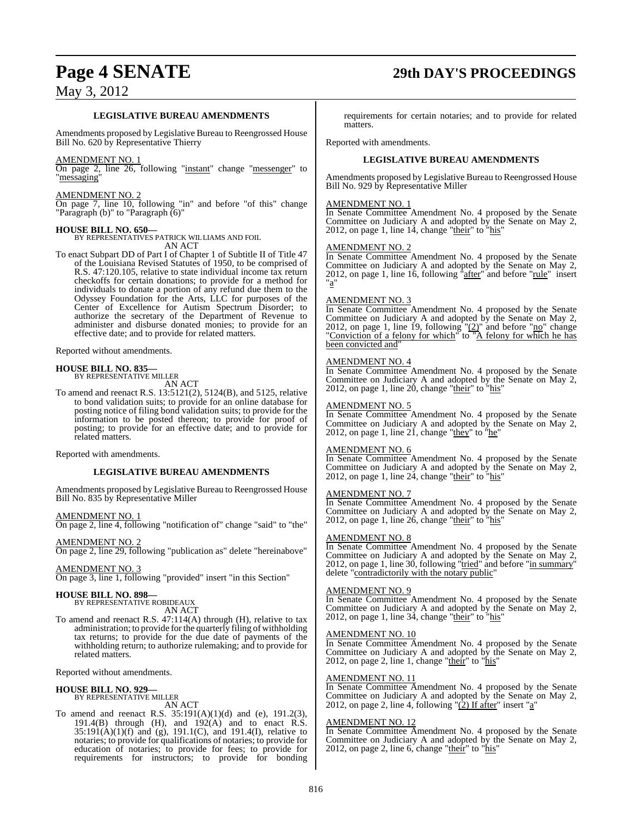# **Page 4 SENATE 29th DAY'S PROCEEDINGS**

### **LEGISLATIVE BUREAU AMENDMENTS**

Amendments proposed by Legislative Bureau to Reengrossed House Bill No. 620 by Representative Thierry

#### AMENDMENT NO. 1

On page 2, line 26, following "instant" change "messenger" to "messaging"

#### AMENDMENT NO. 2

On page 7, line 10, following "in" and before "of this" change "Paragraph (b)" to "Paragraph (6)"

#### **HOUSE BILL NO. 650—**

BY REPRESENTATIVES PATRICK WILLIAMS AND FOIL AN ACT

To enact Subpart DD of Part I of Chapter 1 of Subtitle II of Title 47 of the Louisiana Revised Statutes of 1950, to be comprised of R.S. 47:120.105, relative to state individual income tax return checkoffs for certain donations; to provide for a method for individuals to donate a portion of any refund due them to the Odyssey Foundation for the Arts, LLC for purposes of the Center of Excellence for Autism Spectrum Disorder; to authorize the secretary of the Department of Revenue to administer and disburse donated monies; to provide for an effective date; and to provide for related matters.

Reported without amendments.

#### **HOUSE BILL NO. 835—**

BY REPRESENTATIVE MILLER AN ACT

To amend and reenact R.S. 13:5121(2), 5124(B), and 5125, relative to bond validation suits; to provide for an online database for posting notice of filing bond validation suits; to provide for the information to be posted thereon; to provide for proof of posting; to provide for an effective date; and to provide for related matters.

Reported with amendments.

### **LEGISLATIVE BUREAU AMENDMENTS**

Amendments proposed by Legislative Bureau to Reengrossed House Bill No. 835 by Representative Miller

#### AMENDMENT NO. 1

On page 2, line 4, following "notification of" change "said" to "the"

### AMENDMENT NO. 2

On page 2, line 29, following "publication as" delete "hereinabove"

#### AMENDMENT NO. 3

On page 3, line 1, following "provided" insert "in this Section"

# **HOUSE BILL NO. 898—** BY REPRESENTATIVE ROBIDEAUX

AN ACT

To amend and reenact R.S. 47:114(A) through (H), relative to tax administration; to provide for the quarterly filing of withholding tax returns; to provide for the due date of payments of the withholding return; to authorize rulemaking; and to provide for related matters.

Reported without amendments.

### **HOUSE BILL NO. 929—** BY REPRESENTATIVE MILLER

AN ACT

To amend and reenact R.S.  $35:191(A)(1)(d)$  and (e),  $191.2(3)$ , 191.4 $(B)$  through  $(H)$ , and 192 $(A)$  and to enact R.S.  $35:191(A)(1)(f)$  and  $(g)$ ,  $191.1(C)$ , and  $191.4(I)$ , relative to notaries; to provide for qualifications of notaries; to provide for education of notaries; to provide for fees; to provide for requirements for instructors; to provide for bonding requirements for certain notaries; and to provide for related matters.

Reported with amendments.

#### **LEGISLATIVE BUREAU AMENDMENTS**

Amendments proposed by Legislative Bureau to Reengrossed House Bill No. 929 by Representative Miller

#### AMENDMENT NO. 1

In Senate Committee Amendment No. 4 proposed by the Senate Committee on Judiciary A and adopted by the Senate on May 2, 2012, on page 1, line 14, change " $\frac{\text{their}}{\text{their}}$ " to " $\frac{\text{his}}{\text{his}}$ "

#### AMENDMENT NO. 2

In Senate Committee Amendment No. 4 proposed by the Senate Committee on Judiciary A and adopted by the Senate on May 2, 2012, on page 1, line 16, following "after" and before "rule" insert "a"

#### AMENDMENT NO. 3

In Senate Committee Amendment No. 4 proposed by the Senate Committee on Judiciary A and adopted by the Senate on May 2, 2012, on page 1, line 19, following  $\frac{1}{2}$ " and before "no" change "Conviction of a felony for which" to "A felony for which he has been convicted and"

#### AMENDMENT NO. 4

In Senate Committee Amendment No. 4 proposed by the Senate Committee on Judiciary A and adopted by the Senate on May 2, 2012, on page 1, line 20, change "their" to "his"

#### AMENDMENT NO. 5

In Senate Committee Amendment No. 4 proposed by the Senate Committee on Judiciary A and adopted by the Senate on May 2, 2012, on page 1, line  $2\dot{1}$ , change "they" to "he"

#### AMENDMENT NO. 6

In Senate Committee Amendment No. 4 proposed by the Senate Committee on Judiciary A and adopted by the Senate on May 2, 2012, on page 1, line 24, change " $\frac{\text{their}}{\text{their}}$ " to " $\frac{\text{his}}{\text{his}}$ "

#### AMENDMENT NO. 7

In Senate Committee Amendment No. 4 proposed by the Senate Committee on Judiciary A and adopted by the Senate on May 2, 2012, on page 1, line 26, change " $\frac{\text{their}}{\text{their}}$ " to " $\frac{\text{his}}{\text{his}}$ "

#### AMENDMENT NO. 8

In Senate Committee Amendment No. 4 proposed by the Senate Committee on Judiciary A and adopted by the Senate on May 2, 2012, on page 1, line 30, following "tried" and before "in summary" delete "contradictorily with the notary public"

#### AMENDMENT NO. 9

In Senate Committee Amendment No. 4 proposed by the Senate Committee on Judiciary A and adopted by the Senate on May 2, 2012, on page 1, line  $34$ , change "their" to "his"

#### AMENDMENT NO. 10

In Senate Committee Amendment No. 4 proposed by the Senate Committee on Judiciary A and adopted by the Senate on May 2, 2012, on page 2, line 1, change "their" to "his"

#### AMENDMENT NO. 11

In Senate Committee Amendment No. 4 proposed by the Senate Committee on Judiciary A and adopted by the Senate on May 2, 2012, on page 2, line 4, following "(2) If after" insert "a"

#### AMENDMENT NO. 12

In Senate Committee Amendment No. 4 proposed by the Senate Committee on Judiciary A and adopted by the Senate on May 2, 2012, on page 2, line 6, change "their" to "his"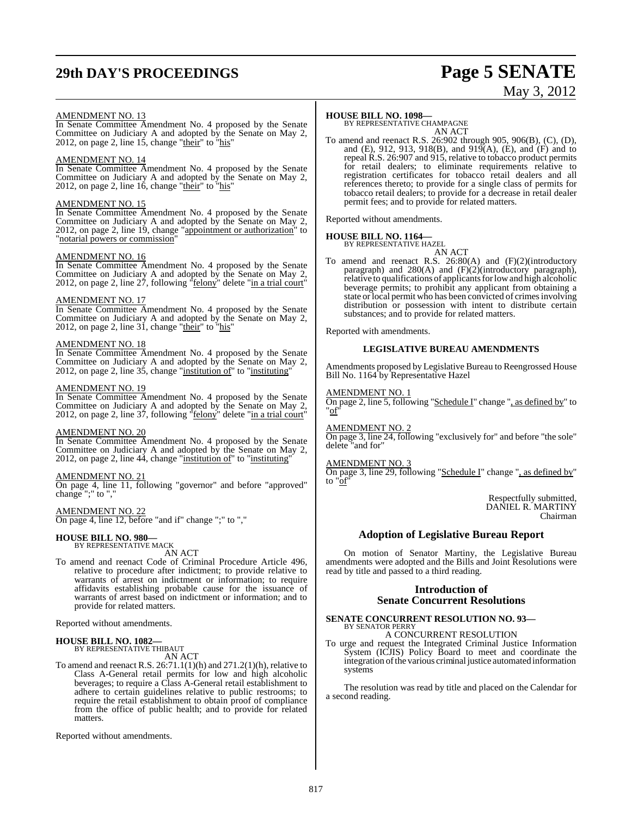## **29th DAY'S PROCEEDINGS Page 5 SENATE**

# May 3, 2012

#### AMENDMENT NO. 13

In Senate Committee Amendment No. 4 proposed by the Senate Committee on Judiciary A and adopted by the Senate on May 2, 2012, on page 2, line 15, change "their" to "his"

#### AMENDMENT NO. 14

In Senate Committee Amendment No. 4 proposed by the Senate Committee on Judiciary A and adopted by the Senate on May 2, 2012, on page 2, line  $16$ , change "their" to "his"

#### AMENDMENT NO. 15

In Senate Committee Amendment No. 4 proposed by the Senate Committee on Judiciary A and adopted by the Senate on May 2, 2012, on page 2, line 19, change "appointment or authorization" to "notarial powers or commission"

#### AMENDMENT NO. 16

In Senate Committee Amendment No. 4 proposed by the Senate Committee on Judiciary A and adopted by the Senate on May 2, 2012, on page 2, line 27, following "felony" delete "in a trial court"

#### AMENDMENT NO. 17

In Senate Committee Amendment No. 4 proposed by the Senate Committee on Judiciary A and adopted by the Senate on May 2, 2012, on page 2, line 31, change "their" to "his"

#### AMENDMENT NO. 18

In Senate Committee Amendment No. 4 proposed by the Senate Committee on Judiciary A and adopted by the Senate on May 2, 2012, on page 2, line 35, change "institution of" to "instituting"

#### AMENDMENT NO. 19

In Senate Committee Amendment No. 4 proposed by the Senate Committee on Judiciary A and adopted by the Senate on May 2, 2012, on page 2, line 37, following "felony" delete "in a trial court"

#### AMENDMENT NO. 20

In Senate Committee Amendment No. 4 proposed by the Senate Committee on Judiciary A and adopted by the Senate on May 2, 2012, on page 2, line 44, change "institution of" to "instituting"

#### AMENDMENT NO. 21

On page 4, line 11, following "governor" and before "approved" change ";" to ","

AMENDMENT NO. 22

On page 4, line 12, before "and if" change ";" to ","

### **HOUSE BILL NO. 980—** BY REPRESENTATIVE MACK

AN ACT

To amend and reenact Code of Criminal Procedure Article 496, relative to procedure after indictment; to provide relative to warrants of arrest on indictment or information; to require affidavits establishing probable cause for the issuance of warrants of arrest based on indictment or information; and to provide for related matters.

Reported without amendments.

#### **HOUSE BILL NO. 1082—** BY REPRESENTATIVE THIBAUT

AN ACT

To amend and reenact R.S. 26:71.1(1)(h) and 271.2(1)(h), relative to Class A-General retail permits for low and high alcoholic beverages; to require a Class A-General retail establishment to adhere to certain guidelines relative to public restrooms; to require the retail establishment to obtain proof of compliance from the office of public health; and to provide for related matters.

Reported without amendments.

#### **HOUSE BILL NO. 1098—**

BY REPRESENTATIVE CHAMPAGNE AN ACT

To amend and reenact R.S. 26:902 through 905, 906(B), (C), (D), and (E), 912, 913, 918(B), and 919(A), (E), and (F) and to repeal R.S. 26:907 and 915, relative to tobacco product permits for retail dealers; to eliminate requirements relative to registration certificates for tobacco retail dealers and all references thereto; to provide for a single class of permits for tobacco retail dealers; to provide for a decrease in retail dealer permit fees; and to provide for related matters.

Reported without amendments.

#### **HOUSE BILL NO. 1164—** BY REPRESENTATIVE HAZEL

AN ACT

To amend and reenact R.S. 26:80(A) and (F)(2)(introductory paragraph) and 280(A) and (F)(2)(introductory paragraph), relative to qualifications of applicants for low and high alcoholic beverage permits; to prohibit any applicant from obtaining a state or local permit who has been convicted of crimes involving distribution or possession with intent to distribute certain substances; and to provide for related matters.

Reported with amendments.

#### **LEGISLATIVE BUREAU AMENDMENTS**

Amendments proposed by Legislative Bureau to Reengrossed House Bill No. 1164 by Representative Hazel

#### AMENDMENT NO. 1

On page 2, line 5, following "Schedule I" change ", as defined by" to "of"

AMENDMENT NO. 2

On page 3, line 24, following "exclusively for" and before "the sole" delete "and for"

#### AMENDMENT NO. 3

On page 3, line 29, following "Schedule I" change ", as defined by" to "of"

> Respectfully submitted, DANIEL R. MARTINY Chairman

### **Adoption of Legislative Bureau Report**

On motion of Senator Martiny, the Legislative Bureau amendments were adopted and the Bills and Joint Resolutions were read by title and passed to a third reading.

#### **Introduction of Senate Concurrent Resolutions**

#### **SENATE CONCURRENT RESOLUTION NO. 93—** BY SENATOR PERRY

A CONCURRENT RESOLUTION

To urge and request the Integrated Criminal Justice Information System (ICJIS) Policy Board to meet and coordinate the integration of the various criminal justice automated information systems

The resolution was read by title and placed on the Calendar for a second reading.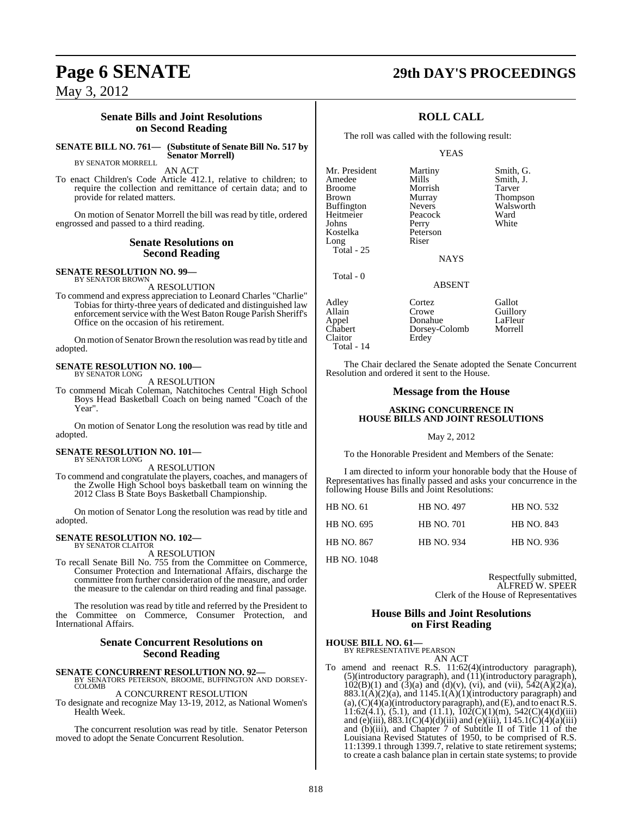### **Senate Bills and Joint Resolutions on Second Reading**

#### **SENATE BILL NO. 761— (Substitute of Senate Bill No. 517 by Senator Morrell)**

BY SENATOR MORRELL

AN ACT

To enact Children's Code Article 412.1, relative to children; to require the collection and remittance of certain data; and to provide for related matters.

On motion of Senator Morrell the bill was read by title, ordered engrossed and passed to a third reading.

#### **Senate Resolutions on Second Reading**

**SENATE RESOLUTION NO. 99—**<br>BY SENATOR BROWN A RESOLUTION

To commend and express appreciation to Leonard Charles "Charlie" Tobias for thirty-three years of dedicated and distinguished law enforcement service with the West Baton Rouge Parish Sheriff's Office on the occasion of his retirement.

On motion of Senator Brown the resolution was read by title and adopted.

#### **SENATE RESOLUTION NO. 100—** BY SENATOR LONG

A RESOLUTION

To commend Micah Coleman, Natchitoches Central High School Boys Head Basketball Coach on being named "Coach of the Year".

On motion of Senator Long the resolution was read by title and adopted.

### **SENATE RESOLUTION NO. 101—** BY SENATOR LONG

A RESOLUTION

To commend and congratulate the players, coaches, and managers of the Zwolle High School boys basketball team on winning the 2012 Class B State Boys Basketball Championship.

On motion of Senator Long the resolution was read by title and adopted.

#### **SENATE RESOLUTION NO. 102—** BY SENATOR CLAITOR

A RESOLUTION

To recall Senate Bill No. 755 from the Committee on Commerce, Consumer Protection and International Affairs, discharge the committee from further consideration of the measure, and order the measure to the calendar on third reading and final passage.

The resolution was read by title and referred by the President to the Committee on Commerce, Consumer Protection, and International Affairs.

### **Senate Concurrent Resolutions on Second Reading**

### **SENATE CONCURRENT RESOLUTION NO. 92—** BY SENATORS PETERSON, BROOME, BUFFINGTON AND DORSEY-COLOMB

#### A CONCURRENT RESOLUTION

To designate and recognize May 13-19, 2012, as National Women's Health Week.

The concurrent resolution was read by title. Senator Peterson moved to adopt the Senate Concurrent Resolution.

### **Page 6 SENATE 29th DAY'S PROCEEDINGS**

### **ROLL CALL**

The roll was called with the following result:

#### YEAS

Mr. President Martiny Smith, G.<br>Amedee Mills Smith, J. Amedee Mills Smith, J.<br>Broome Morrish Tarver Broome Morrish Tarver<br>Brown Murray Thomp Buffington Nevers Walsworth<br>
Heitmeier Peacock Ward Heitmeier Peacock Ward<br>
Johns Perry White Johns Perry<br>Kostelka Peters Long Riser Total - 25

Total - 0

Peterson

Murray Thompson<br>Nevers Walsworth

NAYS

### ABSENT

Adley Cortez Gallot Allain Crowe Guillory<br>
Appel Donahue LaFleur Appel Donahue LaFleur Dorsey-Colomb<br>Erdey Claitor Total - 14

The Chair declared the Senate adopted the Senate Concurrent Resolution and ordered it sent to the House.

#### **Message from the House**

#### **ASKING CONCURRENCE IN HOUSE BILLS AND JOINT RESOLUTIONS**

#### May 2, 2012

To the Honorable President and Members of the Senate:

I am directed to inform your honorable body that the House of Representatives has finally passed and asks your concurrence in the following House Bills and Joint Resolutions:

| <b>HB NO. 61</b>  | <b>HB NO. 497</b> | <b>HB NO. 532</b> |
|-------------------|-------------------|-------------------|
| HB NO. 695        | <b>HB NO. 701</b> | <b>HB NO. 843</b> |
| <b>HB NO. 867</b> | <b>HB NO. 934</b> | HB NO. 936        |

HB NO. 1048

Respectfully submitted, ALFRED W. SPEER Clerk of the House of Representatives

#### **House Bills and Joint Resolutions on First Reading**

#### **HOUSE BILL NO. 61—** BY REPRESENTATIVE PEARSON

AN ACT

To amend and reenact R.S. 11:62(4)(introductory paragraph),  $(5)$ (introductory paragraph), and  $(11)$ (introductory paragraph),  $102(B)(1)$  and  $(3)(a)$  and  $(d)(v)$ , (vi), and (vii),  $542(A)(2)(a)$ ,  $883.1(A)(2)(a)$ , and  $1145.1(A)(1)(introductory paragraph)$  and (a),  $(C)(4)(a)$ (introductory paragraph), and (E), and to enact R.S. 11:62(4.1), (5.1), and (11.1),  $102(C)(1)(m)$ , 542(C)(4)(d)(iii) and (e)(iii),  $883.1(C)(4)(d)(iii)$  and (e)(iii),  $1145.1(C)(4)(a)(iii)$ and (b)(iii), and Chapter 7 of Subtitle II of Title 11 of the Louisiana Revised Statutes of 1950, to be comprised of R.S. 11:1399.1 through 1399.7, relative to state retirement systems; to create a cash balance plan in certain state systems; to provide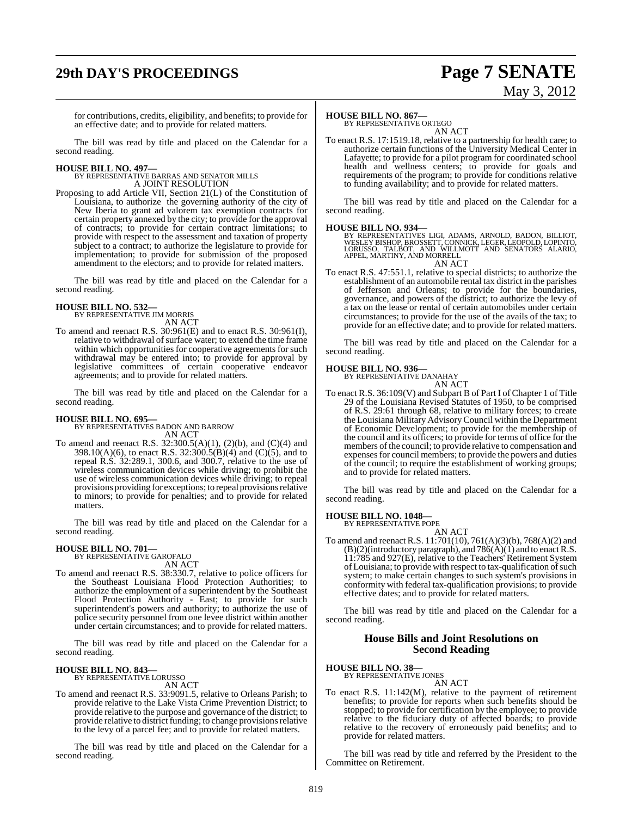# **29th DAY'S PROCEEDINGS Page 7 SENATE**

# May 3, 2012

for contributions, credits, eligibility, and benefits; to provide for an effective date; and to provide for related matters.

The bill was read by title and placed on the Calendar for a second reading.

**HOUSE BILL NO. 497—** BY REPRESENTATIVE BARRAS AND SENATOR MILLS A JOINT RESOLUTION

Proposing to add Article VII, Section 21(L) of the Constitution of Louisiana, to authorize the governing authority of the city of New Iberia to grant ad valorem tax exemption contracts for certain property annexed by the city; to provide for the approval of contracts; to provide for certain contract limitations; to provide with respect to the assessment and taxation of property subject to a contract; to authorize the legislature to provide for implementation; to provide for submission of the proposed amendment to the electors; and to provide for related matters.

The bill was read by title and placed on the Calendar for a second reading.

### **HOUSE BILL NO. 532—**

BY REPRESENTATIVE JIM MORRIS AN ACT

To amend and reenact R.S. 30:961(E) and to enact R.S. 30:961(I), relative to withdrawal of surface water; to extend the time frame within which opportunities for cooperative agreements for such withdrawal may be entered into; to provide for approval by legislative committees of certain cooperative endeavor agreements; and to provide for related matters.

The bill was read by title and placed on the Calendar for a second reading.

#### **HOUSE BILL NO. 695—**

BY REPRESENTATIVES BADON AND BARROW AN ACT

To amend and reenact R.S. 32:300.5(A)(1), (2)(b), and (C)(4) and 398.10(A)(6), to enact R.S. 32:300.5(B)(4) and (C)(5), and to repeal R.S. 32:289.1, 300.6, and 300.7, relative to the use of wireless communication devices while driving; to prohibit the use of wireless communication devices while driving; to repeal provisions providing for exceptions; to repeal provisions relative to minors; to provide for penalties; and to provide for related matters.

The bill was read by title and placed on the Calendar for a second reading.

### **HOUSE BILL NO. 701—**

BY REPRESENTATIVE GAROFALO AN ACT

To amend and reenact R.S. 38:330.7, relative to police officers for the Southeast Louisiana Flood Protection Authorities; to authorize the employment of a superintendent by the Southeast Flood Protection Authority - East; to provide for such superintendent's powers and authority; to authorize the use of police security personnel from one levee district within another under certain circumstances; and to provide for related matters.

The bill was read by title and placed on the Calendar for a second reading.

# **HOUSE BILL NO. 843—** BY REPRESENTATIVE LORUSSO

AN ACT

To amend and reenact R.S. 33:9091.5, relative to Orleans Parish; to provide relative to the Lake Vista Crime Prevention District; to provide relative to the purpose and governance of the district; to provide relative to district funding; to change provisions relative to the levy of a parcel fee; and to provide for related matters.

The bill was read by title and placed on the Calendar for a second reading.

#### **HOUSE BILL NO. 867—**

BY REPRESENTATIVE ORTEGO AN ACT

To enact R.S. 17:1519.18, relative to a partnership for health care; to authorize certain functions of the University Medical Center in Lafayette; to provide for a pilot program for coordinated school health and wellness centers; to provide for goals and requirements of the program; to provide for conditions relative to funding availability; and to provide for related matters.

The bill was read by title and placed on the Calendar for a second reading.

**HOUSE BILL NO. 934—** BY REPRESENTATIVES LIGI, ADAMS, ARNOLD, BADON, BILLIOT, WESLEY BISHOP, BROSSETT, CONNICK, LEGER, LEOPOLD, LOPINTO, LORUSSO, TALBOT, AND WILLMOTT AND SENATORS ALARIO, APPEL, MARTINY, AND MORRELL AN ACT

To enact R.S. 47:551.1, relative to special districts; to authorize the establishment of an automobile rental tax district in the parishes of Jefferson and Orleans; to provide for the boundaries, governance, and powers of the district; to authorize the levy of a tax on the lease or rental of certain automobiles under certain circumstances; to provide for the use of the avails of the tax; to provide for an effective date; and to provide for related matters.

The bill was read by title and placed on the Calendar for a second reading.

# **HOUSE BILL NO. 936—** BY REPRESENTATIVE DANAHAY



To enact R.S. 36:109(V) and Subpart B of Part I of Chapter 1 of Title 29 of the Louisiana Revised Statutes of 1950, to be comprised of R.S. 29:61 through 68, relative to military forces; to create the Louisiana Military AdvisoryCouncil within the Department of Economic Development; to provide for the membership of the council and its officers; to provide for terms of office for the members of the council; to provide relative to compensation and expenses for council members; to provide the powers and duties of the council; to require the establishment of working groups; and to provide for related matters.

The bill was read by title and placed on the Calendar for a second reading.

#### **HOUSE BILL NO. 1048—**

BY REPRESENTATIVE POPE

AN ACT To amend and reenact R.S. 11:701(10), 761(A)(3)(b), 768(A)(2) and  $(B)(2)$ (introductory paragraph), and  $786(A)(1)$  and to enact R.S. 11:785 and 927(E), relative to the Teachers' Retirement System of Louisiana; to provide with respect to tax-qualification of such system; to make certain changes to such system's provisions in conformity with federal tax-qualification provisions; to provide effective dates; and to provide for related matters.

The bill was read by title and placed on the Calendar for a second reading.

### **House Bills and Joint Resolutions on Second Reading**

**HOUSE BILL NO. 38—** BY REPRESENTATIVE JONES

AN ACT

To enact R.S. 11:142(M), relative to the payment of retirement benefits; to provide for reports when such benefits should be stopped; to provide for certification by the employee; to provide relative to the fiduciary duty of affected boards; to provide relative to the recovery of erroneously paid benefits; and to provide for related matters.

The bill was read by title and referred by the President to the Committee on Retirement.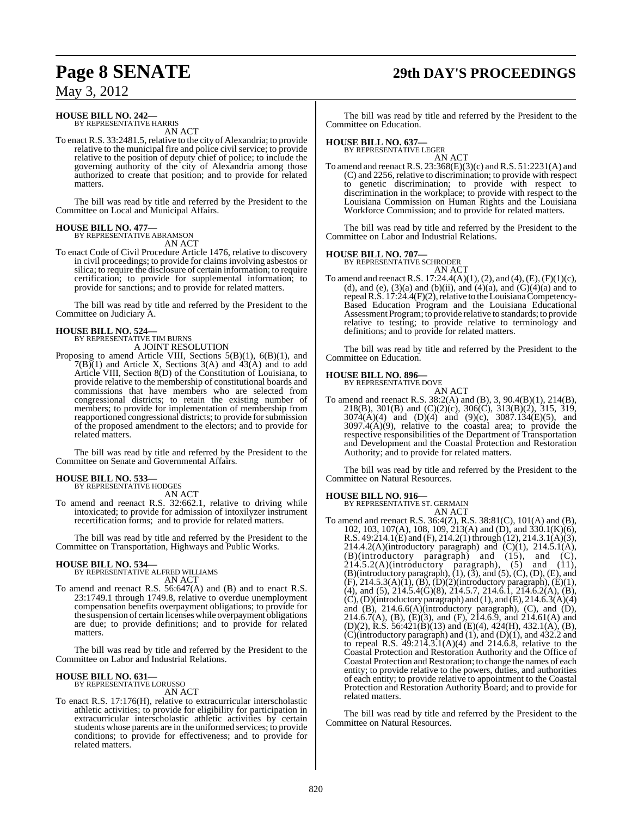# **Page 8 SENATE 29th DAY'S PROCEEDINGS**

May 3, 2012

### **HOUSE BILL NO. 242—** BY REPRESENTATIVE HARRIS

AN ACT

To enact R.S. 33:2481.5, relative to the city of Alexandria; to provide relative to the municipal fire and police civil service; to provide relative to the position of deputy chief of police; to include the governing authority of the city of Alexandria among those authorized to create that position; and to provide for related matters.

The bill was read by title and referred by the President to the Committee on Local and Municipal Affairs.

#### **HOUSE BILL NO. 477—**

BY REPRESENTATIVE ABRAMSON AN ACT

To enact Code of Civil Procedure Article 1476, relative to discovery in civil proceedings; to provide for claims involving asbestos or silica; to require the disclosure of certain information; to require certification; to provide for supplemental information; to provide for sanctions; and to provide for related matters.

The bill was read by title and referred by the President to the Committee on Judiciary A.

#### **HOUSE BILL NO. 524—**

BY REPRESENTATIVE TIM BURNS A JOINT RESOLUTION

Proposing to amend Article VIII, Sections 5(B)(1), 6(B)(1), and  $7(B)(1)$  and Article X, Sections 3(A) and 43(A) and to add Article VIII, Section 8(D) of the Constitution of Louisiana, to provide relative to the membership of constitutional boards and commissions that have members who are selected from congressional districts; to retain the existing number of members; to provide for implementation of membership from reapportioned congressional districts; to provide for submission

The bill was read by title and referred by the President to the Committee on Senate and Governmental Affairs.

of the proposed amendment to the electors; and to provide for

#### **HOUSE BILL NO. 533—**

related matters.

BY REPRESENTATIVE HODGES AN ACT

To amend and reenact R.S. 32:662.1, relative to driving while intoxicated; to provide for admission of intoxilyzer instrument recertification forms; and to provide for related matters.

The bill was read by title and referred by the President to the Committee on Transportation, Highways and Public Works.

**HOUSE BILL NO. 534—** BY REPRESENTATIVE ALFRED WILLIAMS AN ACT

To amend and reenact R.S. 56:647(A) and (B) and to enact R.S. 23:1749.1 through 1749.8, relative to overdue unemployment compensation benefits overpayment obligations; to provide for the suspension of certain licenses while overpayment obligations are due; to provide definitions; and to provide for related matters.

The bill was read by title and referred by the President to the Committee on Labor and Industrial Relations.

#### **HOUSE BILL NO. 631—** BY REPRESENTATIVE LORUSSO

AN ACT

To enact R.S. 17:176(H), relative to extracurricular interscholastic athletic activities; to provide for eligibility for participation in extracurricular interscholastic athletic activities by certain students whose parents are in the uniformed services; to provide conditions; to provide for effectiveness; and to provide for related matters.

The bill was read by title and referred by the President to the Committee on Education.

### **HOUSE BILL NO. 637—** BY REPRESENTATIVE LEGER

AN ACT

To amend and reenact R.S.  $23:368(E)(3)(c)$  and R.S.  $51:2231(A)$  and (C) and 2256, relative to discrimination; to provide with respect to genetic discrimination; to provide with respect to discrimination in the workplace; to provide with respect to the Louisiana Commission on Human Rights and the Louisiana Workforce Commission; and to provide for related matters.

The bill was read by title and referred by the President to the Committee on Labor and Industrial Relations.

**HOUSE BILL NO. 707—** BY REPRESENTATIVE SCHRODER AN ACT

To amend and reenact R.S. 17:24.4(A)(1), (2), and (4), (E), (F)(1)(c), (d), and (e), (3)(a) and (b)(ii), and (4)(a), and  $(G)(4)(a)$  and to repealR.S. 17:24.4(F)(2), relative to the Louisiana Competency-Based Education Program and the Louisiana Educational Assessment Program; to provide relative to standards; to provide relative to testing; to provide relative to terminology and definitions; and to provide for related matters.

The bill was read by title and referred by the President to the Committee on Education.

# **HOUSE BILL NO. 896—** BY REPRESENTATIVE DOVE

AN ACT

To amend and reenact R.S. 38:2(A) and (B), 3, 90.4(B)(1), 214(B), 218(B), 301(B) and (C)(2)(c), 306(C), 313(B)(2), 315, 319, 3074(A)(4) and (D)(4) and (9)(c), 3087.134(E)(5), and  $3097.4(A)(9)$ , relative to the coastal area; to provide the respective responsibilities of the Department of Transportation and Development and the Coastal Protection and Restoration Authority; and to provide for related matters.

The bill was read by title and referred by the President to the Committee on Natural Resources.

#### **HOUSE BILL NO. 916—**

BY REPRESENTATIVE ST. GERMAIN

AN ACT To amend and reenact R.S. 36:4(Z), R.S. 38:81(C), 101(A) and (B), 102, 103, 107(A), 108, 109, 213(A) and (D), and 330.1(K)(6), R.S. 49:214.1(E) and (F), 214.2(1) through (12), 214.3.1(A)(3), 214.4.2(A)(introductory paragraph) and  $(C)(1)$ , 214.5.1(A),  $(B)$ (introductory paragraph) and  $(15)$ , and  $(C)$ ,  $214.5.2(A)$ (introductory paragraph),  $(5)$  and  $(11)$ ,  $\hat{2}14.5.2(A)$ (introductory paragraph), (5) and (11), (B)(introductory paragraph), (1), (3), and (5), (C), (D), (E), and (F), 214.5.3(A)(1), (B), (D)(2)(introductory paragraph), (E)(1), (4), and (5),  $214.5.4(\text{G})(8)$ ,  $214.5.7$ ,  $214.6.\text{I}$ ,  $214.6.2(\text{A})$ ,  $(\text{B})$ ,  $(C)$ ,  $(D)$ (introductory paragraph) and  $(1)$ , and  $(E)$ ,  $214.6.3(A)(4)$ and (B), 214.6.6(A)(introductory paragraph), (C), and (D), 214.6.7(A), (B), (E)(3), and (F), 214.6.9, and 214.61(A) and (D)(2), R.S. 56:421(B)(13) and (E)(4), 424(H), 432.1(A), (B),  $(C)(introducing paragnb)$  and  $(1)$ , and  $(D)(1)$ , and  $432.2$  and to repeal R.S.  $49:21\overline{4} \cdot 3.1(A)(4)$  and 214.6.8, relative to the Coastal Protection and Restoration Authority and the Office of Coastal Protection and Restoration; to change the names of each entity; to provide relative to the powers, duties, and authorities of each entity; to provide relative to appointment to the Coastal Protection and Restoration Authority Board; and to provide for related matters.

The bill was read by title and referred by the President to the Committee on Natural Resources.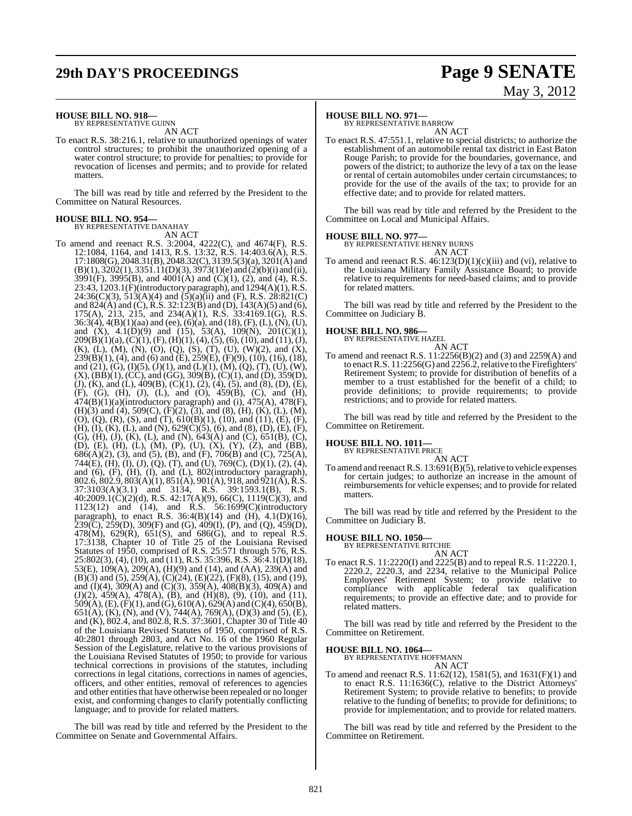# **29th DAY'S PROCEEDINGS Page 9 SENATE**

# May 3, 2012

### **HOUSE BILL NO. 918—** BY REPRESENTATIVE GUINN

AN ACT

To enact R.S. 38:216.1, relative to unauthorized openings of water control structures; to prohibit the unauthorized opening of a water control structure; to provide for penalties; to provide for revocation of licenses and permits; and to provide for related matters.

The bill was read by title and referred by the President to the Committee on Natural Resources.

#### **HOUSE BILL NO. 954—**

BY REPRESENTATIVE DANAHAY AN ACT

To amend and reenact R.S. 3:2004, 4222(C), and 4674(F), R.S. 12:1084, 1164, and 1413, R.S. 13:32, R.S. 14:403.6(A), R.S. 17:1808(G), 2048.31(B), 2048.32(C), 3139.5(3)(a), 3201(A) and  $(B)(1), 3202(1), 3351.11(D)(3), 3973(1)(e)$  and  $(2)(b)(i)$  and  $(ii)$ , 3991(F), 3995(B), and 4001(A) and (C)(1), (2), and (4), R.S. 23:43, 1203.1(F)(introductory paragraph), and 1294(A)(1), R.S.  $24:36(C)(3)$ ,  $513(A)(4)$  and  $(5)(a)(ii)$  and  $(F)$ , R.S.  $28:821(C)$ and  $824(A)$  and (C), R.S. 32:123(B) and (D), 143(A)(5) and (6), 175(A), 213, 215, and 234(A)(1), R.S. 33:4169.1(G), R.S. 36:3(4), 4(B)(1)(aa) and (ee), (6)(a), and (18), (F), (L), (N), (U), and  $(X)$ ,  $4.1(D)(9)$  and  $(15)$ ,  $53(A)$ ,  $109(N)$ ,  $201(C)(1)$ ,  $209(B)(1)(a)$ ,  $(C)(1)$ ,  $(F)$ ,  $(H)(1)$ ,  $(4)$ ,  $(5)$ ,  $(6)$ ,  $(10)$ , and  $(11)$ ,  $(J)$ , (K), (L), (M), (N), (O), (Q), (S), (T), (U), (W)(2), and (X), 239(B)(1), (4), and (6) and (E), 259(E), (F)(9), (10), (16), (18), and  $(21)$ ,  $(G)$ ,  $(I)(5)$ ,  $(J)(1)$ , and  $(L)(1)$ ,  $(M)$ ,  $(Q)$ ,  $(T)$ ,  $(U)$ ,  $(W)$ ,  $(X), (B\ddot{B})(1), (C\ddot{C})$ , and  $(G\ddot{G}), 309(\dot{B}), (C)(1),$  and  $(D), 359(D),$ (J), (K), and (L), 409(B), (C)(1), (2), (4), (5), and (8), (D), (E), (F), (G), (H), (J), (L), and (O), 459(B), (C), and (H),  $474(B)(1)(a)$ (introductory paragraph) and (i),  $475(A)$ ,  $478(F)$ , (H)(3) and (4), 509(C), (F)(2), (3), and (8), (H), (K), (L), (M), (O), (Q), (R), (S), and (T), 610(B)(1), (10), and (11), (E), (F), (H), (I), (K), (L), and (N),  $629(C)(5)$ , (6), and (8), (D), (E), (F), (G), (H), (J), (K), (L), and (N), 643(A) and (C), 651(B), (C), (D), (E), (H), (L), (M), (P), (U), (X), (Y), (Z), and (BB), 686(A)(2), (3), and (5), (B), and (F), 706(B) and (C), 725(A), 744(E), (H), (I), (J), (Q), (T), and (U), 769(C), (D)(1), (2), (4), and (6), (F), (H), (I), and (L), 802(introductory paragraph), 802.6, 802.9, 803(A)(1), 851(A), 901(A), 918, and 921(A), R.S. 37:3103(A)(3.1) and 3134, R.S. 39:1593.1(B), R.S.  $40:2009.1(\dot{C})(2)(d)$ , R.S.  $42:17(A)(9)$ , 66(C),  $1119(\dot{C})(3)$ , and 1123(12) and (14), and R.S. 56:1699(C)(introductory paragraph), to enact R.S. 36:4(B)(14) and (H), 4.1(D)(16),  $239(\text{C})$ ,  $259(\text{D})$ ,  $309(\text{F})$  and (G),  $409(\text{I})$ , (P), and (Q),  $459(\text{D})$ , 478(M), 629(R), 651(S), and 686(G), and to repeal R.S. 17:3138, Chapter 10 of Title 25 of the Louisiana Revised Statutes of 1950, comprised of R.S. 25:571 through 576, R.S. 25:802(3), (4), (10), and (11), R.S. 35:396, R.S. 36:4.1(D)(18), 53(E), 109(A), 209(A), (H)(9) and (14), and (AA), 239(A) and (B)(3) and (5), 259(A), (C)(24), (E)(22), (F)(8), (15), and (19), and (I)(4), 309(A) and (C)(3), 359(A), 408(B)(3), 409(A) and (J)(2),  $\overline{459(A)}$ ,  $\overline{478(A)}$ , (B), and (H)(8), (9), (10), and (11),  $509(A), (E), (F)(1),$  and  $(G), 610(A), 629(A)$  and  $(C)(4), 650(B),$ 651(A), (K), (N), and (V), 744(A), 769(A), (D)(3) and (5), (E), and (K), 802.4, and 802.8, R.S. 37:3601, Chapter 30 of Title 40 of the Louisiana Revised Statutes of 1950, comprised of R.S. 40:2801 through 2803, and Act No. 16 of the 1960 Regular Session of the Legislature, relative to the various provisions of the Louisiana Revised Statutes of 1950; to provide for various technical corrections in provisions of the statutes, including corrections in legal citations, corrections in names of agencies, officers, and other entities, removal of references to agencies and other entities that have otherwise been repealed or no longer exist, and conforming changes to clarify potentially conflicting language; and to provide for related matters.

The bill was read by title and referred by the President to the Committee on Senate and Governmental Affairs.

### **HOUSE BILL NO. 971—**

BY REPRESENTATIVE BARROW AN ACT

To enact R.S. 47:551.1, relative to special districts; to authorize the establishment of an automobile rental tax district in East Baton Rouge Parish; to provide for the boundaries, governance, and powers of the district; to authorize the levy of a tax on the lease or rental of certain automobiles under certain circumstances; to provide for the use of the avails of the tax; to provide for an effective date; and to provide for related matters.

The bill was read by title and referred by the President to the Committee on Local and Municipal Affairs.

#### **HOUSE BILL NO. 977—**

BY REPRESENTATIVE HENRY BURNS AN ACT

To amend and reenact R.S. 46:123(D)(1)(c)(iii) and (vi), relative to the Louisiana Military Family Assistance Board; to provide relative to requirements for need-based claims; and to provide for related matters.

The bill was read by title and referred by the President to the Committee on Judiciary B.

#### **HOUSE BILL NO. 986—**



To amend and reenact R.S. 11:2256(B)(2) and (3) and 2259(A) and to enact R.S. 11:2256(G) and 2256.2, relative to the Firefighters' Retirement System; to provide for distribution of benefits of a member to a trust established for the benefit of a child; to provide definitions; to provide requirements; to provide restrictions; and to provide for related matters.

The bill was read by title and referred by the President to the Committee on Retirement.

#### **HOUSE BILL NO. 1011—**

BY REPRESENTATIVE PRICE

AN ACT To amend and reenact R.S.  $13:691(B)(5)$ , relative to vehicle expenses for certain judges; to authorize an increase in the amount of reimbursements for vehicle expenses; and to provide for related matters.

The bill was read by title and referred by the President to the Committee on Judiciary B.

### **HOUSE BILL NO. 1050—** BY REPRESENTATIVE RITCHIE

AN ACT To enact R.S. 11:2220(I) and 2225(B) and to repeal R.S. 11:2220.1, 2220.2, 2220.3, and 2234, relative to the Municipal Police Employees' Retirement System; to provide relative to compliance with applicable federal tax qualification requirements; to provide an effective date; and to provide for related matters.

The bill was read by title and referred by the President to the Committee on Retirement.

#### **HOUSE BILL NO. 1064—**

BY REPRESENTATIVE HOFFMANN AN ACT

To amend and reenact R.S. 11:62(12), 1581(5), and 1631(F)(1) and to enact R.S. 11:1636(C), relative to the District Attorneys' Retirement System; to provide relative to benefits; to provide relative to the funding of benefits; to provide for definitions; to provide for implementation; and to provide for related matters.

The bill was read by title and referred by the President to the Committee on Retirement.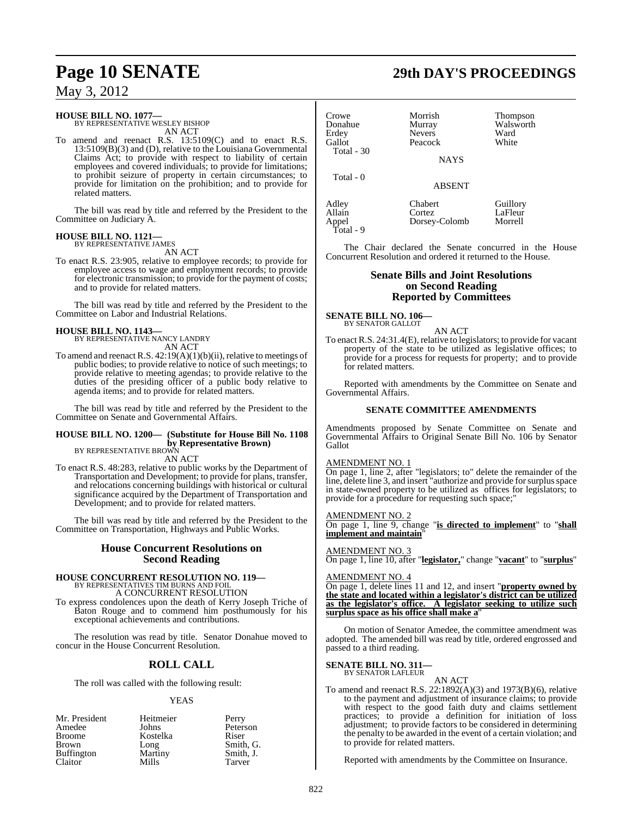### **HOUSE BILL NO. 1077—** BY REPRESENTATIVE WESLEY BISHOP

AN ACT

To amend and reenact R.S. 13:5109(C) and to enact R.S. 13:5109(B)(3) and (D), relative to the Louisiana Governmental Claims Act; to provide with respect to liability of certain employees and covered individuals; to provide for limitations; to prohibit seizure of property in certain circumstances; to provide for limitation on the prohibition; and to provide for related matters.

The bill was read by title and referred by the President to the Committee on Judiciary A.

#### **HOUSE BILL NO. 1121—** BY REPRESENTATIVE JAMES

AN ACT

To enact R.S. 23:905, relative to employee records; to provide for employee access to wage and employment records; to provide for electronic transmission; to provide for the payment of costs; and to provide for related matters.

The bill was read by title and referred by the President to the Committee on Labor and Industrial Relations.

### **HOUSE BILL NO. 1143—**

BY REPRESENTATIVE NANCY LANDRY AN ACT

To amend and reenact R.S. 42:19(A)(1)(b)(ii), relative to meetings of public bodies; to provide relative to notice of such meetings; to provide relative to meeting agendas; to provide relative to the duties of the presiding officer of a public body relative to agenda items; and to provide for related matters.

The bill was read by title and referred by the President to the Committee on Senate and Governmental Affairs.

### **HOUSE BILL NO. 1200— (Substitute for House Bill No. 1108 by Representative Brown)**

BY REPRESENTATIVE BROWN AN ACT

To enact R.S. 48:283, relative to public works by the Department of Transportation and Development; to provide for plans, transfer, and relocations concerning buildings with historical or cultural significance acquired by the Department of Transportation and Development; and to provide for related matters.

The bill was read by title and referred by the President to the Committee on Transportation, Highways and Public Works.

### **House Concurrent Resolutions on Second Reading**

# **HOUSE CONCURRENT RESOLUTION NO. 119—** BY REPRESENTATIVES TIM BURNS AND FOIL

A CONCURRENT RESOLUTION

To express condolences upon the death of Kerry Joseph Triche of Baton Rouge and to commend him posthumously for his exceptional achievements and contributions.

The resolution was read by title. Senator Donahue moved to concur in the House Concurrent Resolution.

### **ROLL CALL**

The roll was called with the following result:

#### YEAS

| Mr. President     | Heitmeier | Perry     |
|-------------------|-----------|-----------|
| Amedee            | Johns     | Peterson  |
| <b>Broome</b>     | Kostelka  | Riser     |
| <b>Brown</b>      | Long      | Smith, G. |
| <b>Buffington</b> | Martiny   | Smith, J. |
| Claitor           | Mills     | Tarver    |

# **Page 10 SENATE 29th DAY'S PROCEEDINGS**

| Crowe<br>Donahue<br>Erdey<br>Gallot<br>Total - 30 | Morrish<br>Murray<br><b>Nevers</b><br>Peacock<br><b>NAYS</b> | <b>Thompson</b><br>Walsworth<br>Ward<br>White |
|---------------------------------------------------|--------------------------------------------------------------|-----------------------------------------------|
| Total - 0                                         | <b>ABSENT</b>                                                |                                               |
| Adley<br>Allain                                   | Chabert<br>Cortez                                            | Guillory<br>LaFleur                           |

The Chair declared the Senate concurred in the House Concurrent Resolution and ordered it returned to the House.

Dorsey-Colomb Morrell

#### **Senate Bills and Joint Resolutions on Second Reading Reported by Committees**

#### **SENATE BILL NO. 106—** BY SENATOR GALLOT

Appel<br>Total - 9

AN ACT

To enact R.S. 24:31.4(E), relative to legislators; to provide for vacant property of the state to be utilized as legislative offices; to provide for a process for requests for property; and to provide for related matters.

Reported with amendments by the Committee on Senate and Governmental Affairs.

#### **SENATE COMMITTEE AMENDMENTS**

Amendments proposed by Senate Committee on Senate and Governmental Affairs to Original Senate Bill No. 106 by Senator Gallot

#### AMENDMENT NO. 1

On page 1, line 2, after "legislators; to" delete the remainder of the line, delete line 3, and insert "authorize and provide for surplus space in state-owned property to be utilized as offices for legislators; to provide for a procedure for requesting such space;"

#### AMENDMENT NO. 2

On page 1, line 9, change "**is directed to implement**" to "**shall implement and maintain**"

#### AMENDMENT NO. 3

On page 1, line 10, after "**legislator,**" change "**vacant**" to "**surplus**"

#### AMENDMENT NO. 4

On page 1, delete lines 11 and 12, and insert "**property owned by the state and located within a legislator's district can be utilized as the legislator's office. A legislator seeking to utilize such surplus space as his office shall make a**"

On motion of Senator Amedee, the committee amendment was adopted. The amended bill was read by title, ordered engrossed and passed to a third reading.

### **SENATE BILL NO. 311—** BY SENATOR LAFLEUR

AN ACT

To amend and reenact R.S.  $22:1892(A)(3)$  and  $1973(B)(6)$ , relative to the payment and adjustment of insurance claims; to provide with respect to the good faith duty and claims settlement practices; to provide a definition for initiation of loss adjustment; to provide factors to be considered in determining the penalty to be awarded in the event of a certain violation; and to provide for related matters.

Reported with amendments by the Committee on Insurance.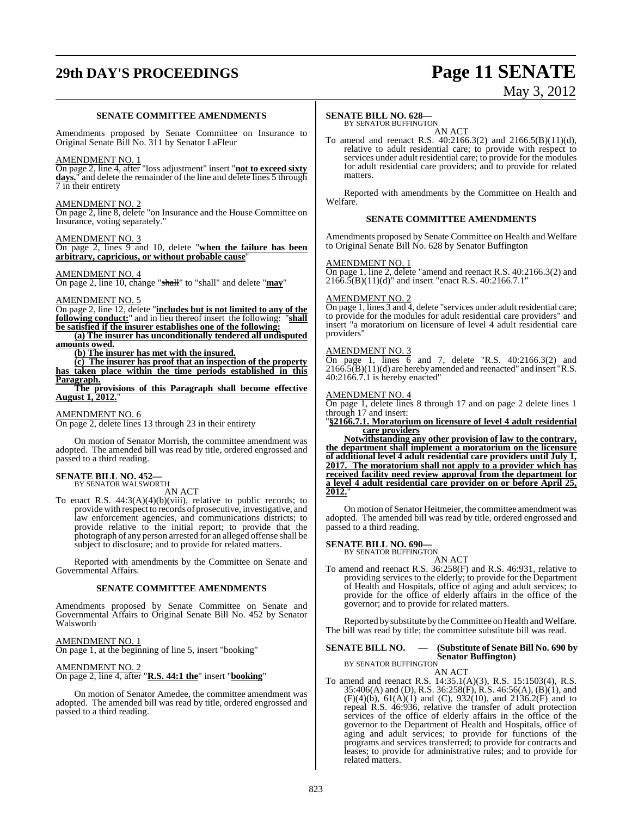# **29th DAY'S PROCEEDINGS Page 11 SENATE**

# May 3, 2012

#### **SENATE COMMITTEE AMENDMENTS**

Amendments proposed by Senate Committee on Insurance to Original Senate Bill No. 311 by Senator LaFleur

#### AMENDMENT NO. 1

On page 2, line 4, after "loss adjustment" insert "**not to exceed sixty** days." and delete the remainder of the line and delete lines 5 through 7 in their entirety

#### AMENDMENT NO. 2

On page 2, line 8, delete "on Insurance and the House Committee on Insurance, voting separately."

#### AMENDMENT NO. 3

On page 2, lines 9 and 10, delete "**when the failure has been arbitrary, capricious, or without probable cause**"

#### AMENDMENT NO. 4

On page 2, line 10, change "shall" to "shall" and delete "**may**"

#### AMENDMENT NO. 5

On page 2, line 12, delete "**includes but is not limited to any of the following conduct:**" and in lieu thereof insert the following: **be satisfied if the insurer establishes one of the following:**

**(a) The insurer has unconditionally tendered all undisputed amounts owed.**

**(b) The insurer has met with the insured.**

**(c) The insurer has proof that an inspection of the property has taken place within the time periods established in this Paragraph.**

**The provisions of this Paragraph shall become effective August 1, 2012.**"

#### AMENDMENT NO. 6

On page 2, delete lines 13 through 23 in their entirety

On motion of Senator Morrish, the committee amendment was adopted. The amended bill was read by title, ordered engrossed and passed to a third reading.

#### **SENATE BILL NO. 452—** BY SENATOR WALSWORTH

AN ACT

To enact R.S. 44:3(A)(4)(b)(viii), relative to public records; to providewith respect to records of prosecutive, investigative, and law enforcement agencies, and communications districts; to provide relative to the initial report; to provide that the photograph of any person arrested for an alleged offense shall be subject to disclosure; and to provide for related matters.

Reported with amendments by the Committee on Senate and Governmental Affairs.

#### **SENATE COMMITTEE AMENDMENTS**

Amendments proposed by Senate Committee on Senate and Governmental Affairs to Original Senate Bill No. 452 by Senator Walsworth

#### AMENDMENT NO. 1

On page 1, at the beginning of line 5, insert "booking"

#### AMENDMENT NO. 2

On page 2, line 4, after "**R.S. 44:1 the**" insert "**booking**"

On motion of Senator Amedee, the committee amendment was adopted. The amended bill was read by title, ordered engrossed and passed to a third reading.

#### **SENATE BILL NO. 628—**

BY SENATOR BUFFINGTON AN ACT

To amend and reenact R.S. 40:2166.3(2) and 2166.5(B)(11)(d), relative to adult residential care; to provide with respect to services under adult residential care; to provide for the modules for adult residential care providers; and to provide for related matters.

Reported with amendments by the Committee on Health and Welfare.

#### **SENATE COMMITTEE AMENDMENTS**

Amendments proposed by Senate Committee on Health and Welfare to Original Senate Bill No. 628 by Senator Buffington

#### AMENDMENT NO. 1

On page 1, line 2, delete "amend and reenact R.S. 40:2166.3(2) and  $2166.5(B)(11)(d)$ " and insert "enact R.S. 40:2166.7.1"

#### AMENDMENT NO. 2

On page 1, lines 3 and 4, delete "services under adult residential care; to provide for the modules for adult residential care providers" and insert "a moratorium on licensure of level 4 adult residential care providers"

### AMENDMENT NO. 3

On page 1, lines  $\overline{6}$  and 7, delete "R.S. 40:2166.3(2) and  $2166.5(B)(11)(d)$  are hereby amended and reenacted" and insert "R.S. 40:2166.7.1 is hereby enacted"

#### AMENDMENT NO. 4

On page 1, delete lines 8 through 17 and on page 2 delete lines 1 through 17 and insert:

"**§2166.7.1. Moratorium on licensure of level 4 adult residential care providers**

**Notwithstanding any other provision of law to the contrary, the department shall implement a moratorium on the licensure of additional level 4 adult residential care providers until July 1, 2017. The moratorium shall not apply to a provider which has received facility need review approval from the department for a level 4 adult residential care provider on or before April 25, 2012.**"

On motion of Senator Heitmeier, the committee amendment was adopted. The amended bill was read by title, ordered engrossed and passed to a third reading.

## **SENATE BILL NO. 690—** BY SENATOR BUFFINGTON

AN ACT To amend and reenact R.S. 36:258(F) and R.S. 46:931, relative to providing services to the elderly; to provide for the Department of Health and Hospitals, office of aging and adult services; to provide for the office of elderly affairs in the office of the governor; and to provide for related matters.

Reported by substitute by the Committee on Health and Welfare. The bill was read by title; the committee substitute bill was read.

### **SENATE BILL NO. — (Substitute of Senate Bill No. 690 by Senator Buffington)** BY SENATOR BUFFINGTON

AN ACT

To amend and reenact R.S. 14:35.1(A)(3), R.S. 15:1503(4), R.S. 35:406(A) and (D), R.S. 36:258(F), R.S. 46:56(A), (B)(1), and  $(F)(4)(b)$ ,  $61(A)(1)$  and  $(C)$ ,  $932(10)$ , and  $2136.2(F)$  and to repeal R.S. 46:936, relative the transfer of adult protection services of the office of elderly affairs in the office of the governor to the Department of Health and Hospitals, office of aging and adult services; to provide for functions of the programs and services transferred; to provide for contracts and leases; to provide for administrative rules; and to provide for related matters.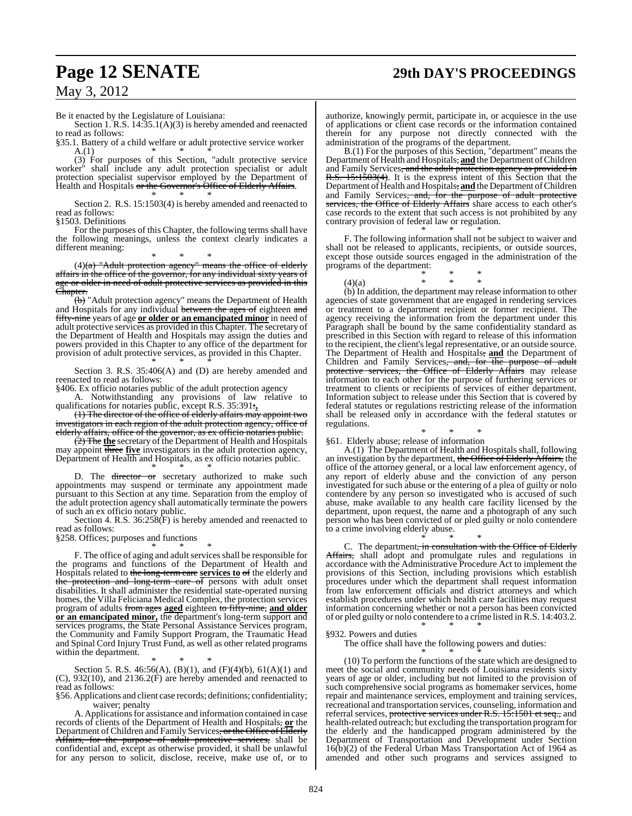### **Page 12 SENATE 29th DAY'S PROCEEDINGS**

May 3, 2012

Be it enacted by the Legislature of Louisiana:

Section 1. R.S. 14:35.1(A)(3) is hereby amended and reenacted to read as follows:

§35.1. Battery of a child welfare or adult protective service worker  $A(1)$ A.(1) \* \* \*

(3) For purposes of this Section, "adult protective service worker" shall include any adult protection specialist or adult protection specialist supervisor employed by the Department of Health and Hospitals or the Governor's Office of Elderly Affairs.

\* \* \* Section 2. R.S. 15:1503(4) is hereby amended and reenacted to read as follows:

§1503. Definitions

For the purposes of this Chapter, the following terms shall have the following meanings, unless the context clearly indicates a different meaning:

\* \* \*  $(4)$ (a) "Adult protection agency" means the office of elderly affairs in the office of the governor, for any individual sixty years of age or older in need of adult protective services as provided in this Chapter.

 $\overline{(\theta)}$  "Adult protection agency" means the Department of Health and Hospitals for any individual between the ages of eighteen and fifty-nine years of age **or older or an emancipated minor** in need of adult protective services as provided in this Chapter. The secretary of the Department of Health and Hospitals may assign the duties and powers provided in this Chapter to any office of the department for provision of adult protective services, as provided in this Chapter. \* \* \*

Section 3. R.S. 35:406(A) and (D) are hereby amended and reenacted to read as follows:

§406. Ex officio notaries public of the adult protection agency

A. Notwithstanding any provisions of law relative to qualifications for notaries public, except R.S. 35:391:**,**

(1) The director of the office of elderly affairs may appoint two investigators in each region of the adult protection agency, office of elderly affairs, office of the governor, as ex officio notaries public.

(2) The **the** secretary of the Department of Health and Hospitals may appoint three **five** investigators in the adult protection agency, Department of Health and Hospitals, as ex officio notaries public.

\* \* \* D. The director or secretary authorized to make such appointments may suspend or terminate any appointment made pursuant to this Section at any time. Separation from the employ of the adult protection agency shall automatically terminate the powers of such an ex officio notary public.

Section 4. R.S. 36:258(F) is hereby amended and reenacted to read as follows:

§258. Offices; purposes and functions

\* \* \* F. The office of aging and adult services shall be responsible for the programs and functions of the Department of Health and Hospitals related to the long-term care **services to** of the elderly and the protection and long-term care of persons with adult onset disabilities. It shall administer the residential state-operated nursing homes, the Villa Feliciana Medical Complex, the protection services program of adults from ages **aged** eighteen to fifty-nine, **and older or an emancipated minor,** the department's long-term support and services programs, the State Personal Assistance Services program, the Community and Family Support Program, the Traumatic Head and Spinal Cord Injury Trust Fund, as well as other related programs within the department.

\* \* \* Section 5. R.S. 46:56(A), (B)(1), and (F)(4)(b), 61(A)(1) and (C), 932(10), and 2136.2(F) are hereby amended and reenacted to read as follows:

§56. Applications and client case records; definitions; confidentiality; waiver; penalty

A. Applications for assistance and information contained in case records of clients of the Department of Health and Hospitals, **or** the Department of Children and Family Services, or the Office of Elderly Affairs, for the purpose of adult protective services, shall be confidential and, except as otherwise provided, it shall be unlawful for any person to solicit, disclose, receive, make use of, or to

authorize, knowingly permit, participate in, or acquiesce in the use of applications or client case records or the information contained therein for any purpose not directly connected with the administration of the programs of the department.

B.(1) For the purposes of this Section, "department" means the Department of Health and Hospitals, and the Department of Children and Family Services<del>, and the adult protection agency as provided in</del> R.S. 15:1503(4). It is the express intent of this Section that the Department of Health and Hospitals, and the Department of Children and Family Services<del>, and, for the purpose of adult protective</del> services, the Office of Elderly Affairs share access to each other's case records to the extent that such access is not prohibited by any contrary provision of federal law or regulation.

\* \* \* F. The following information shall not be subject to waiver and shall not be released to applicants, recipients, or outside sources, except those outside sources engaged in the administration of the programs of the department:



(b) In addition, the department may release information to other agencies of state government that are engaged in rendering services or treatment to a department recipient or former recipient. The agency receiving the information from the department under this Paragraph shall be bound by the same confidentiality standard as prescribed in this Section with regard to release of this information to the recipient, the client'slegal representative, or an outside source. The Department of Health and Hospitals, **and** the Department of Children and Family Services<del>, and, for the purpose of adult</del> protective services, the Office of Elderly Affairs may release information to each other for the purpose of furthering services or treatment to clients or recipients of services of either department. Information subject to release under this Section that is covered by federal statutes or regulations restricting release of the information shall be released only in accordance with the federal statutes or regulations.

\* \* \* §61. Elderly abuse; release of information

A.(1) The Department of Health and Hospitals shall, following an investigation by the department, the Office of Elderly Affairs, the office of the attorney general, or a local law enforcement agency, of any report of elderly abuse and the conviction of any person investigated for such abuse or the entering of a plea of guilty or nolo contendere by any person so investigated who is accused of such abuse, make available to any health care facility licensed by the department, upon request, the name and a photograph of any such person who has been convicted of or pled guilty or nolo contendere to a crime involving elderly abuse.

\* \* \* C. The department<del>, in consultation with the Office of Elderly</del> Affairs, shall adopt and promulgate rules and regulations in accordance with the Administrative Procedure Act to implement the provisions of this Section, including provisions which establish procedures under which the department shall request information from law enforcement officials and district attorneys and which establish procedures under which health care facilities may request information concerning whether or not a person has been convicted of or pled guilty or nolo contendere to a crime listed in R.S. 14:403.2. \* \* \*

§932. Powers and duties

The office shall have the following powers and duties: \* \* \*

(10) To perform the functions of the state which are designed to meet the social and community needs of Louisiana residents sixty years of age or older, including but not limited to the provision of such comprehensive social programs as homemaker services, home repair and maintenance services, employment and training services, recreational and transportation services, counseling, information and referral services, protective services under R.S. 15:1501 et seq., and health-related outreach; but excluding the transportation programfor the elderly and the handicapped program administered by the Department of Transportation and Development under Section 16(b)(2) of the Federal Urban Mass Transportation Act of 1964 as amended and other such programs and services assigned to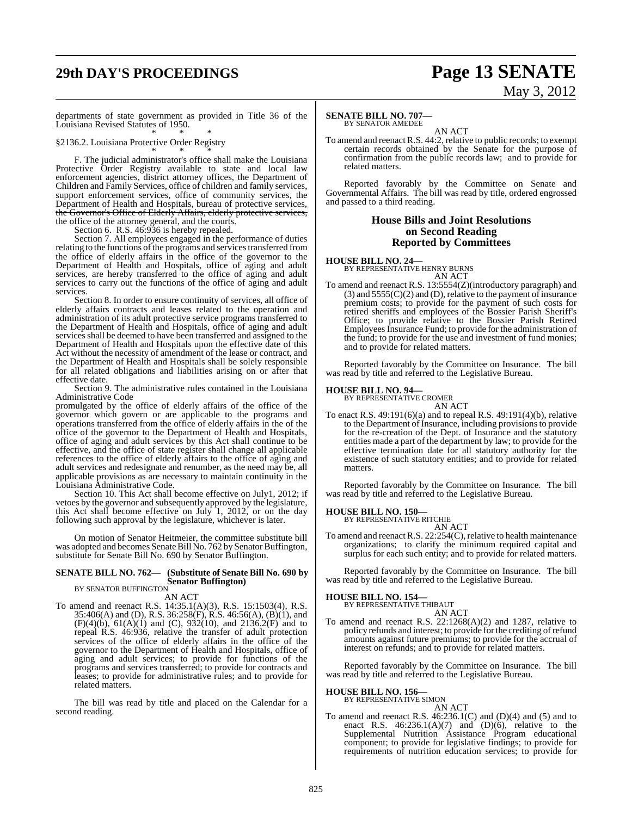# **29th DAY'S PROCEEDINGS Page 13 SENATE** May 3, 2012

departments of state government as provided in Title 36 of the Louisiana Revised Statutes of 1950. \* \* \*

§2136.2. Louisiana Protective Order Registry

\* \* \* F. The judicial administrator's office shall make the Louisiana Protective Order Registry available to state and local law enforcement agencies, district attorney offices, the Department of Children and Family Services, office of children and family services, support enforcement services, office of community services, the Department of Health and Hospitals, bureau of protective services, the Governor's Office of Elderly Affairs, elderly protective services, the office of the attorney general, and the courts.

Section 6. R.S. 46:936 is hereby repealed.

Section 7. All employees engaged in the performance of duties relating to the functions of the programs and services transferred from the office of elderly affairs in the office of the governor to the Department of Health and Hospitals, office of aging and adult services, are hereby transferred to the office of aging and adult services to carry out the functions of the office of aging and adult services.

Section 8. In order to ensure continuity of services, all office of elderly affairs contracts and leases related to the operation and administration of its adult protective service programs transferred to the Department of Health and Hospitals, office of aging and adult services shall be deemed to have been transferred and assigned to the Department of Health and Hospitals upon the effective date of this Act without the necessity of amendment of the lease or contract, and the Department of Health and Hospitals shall be solely responsible for all related obligations and liabilities arising on or after that effective date.

Section 9. The administrative rules contained in the Louisiana Administrative Code

promulgated by the office of elderly affairs of the office of the governor which govern or are applicable to the programs and operations transferred from the office of elderly affairs in the of the office of the governor to the Department of Health and Hospitals, office of aging and adult services by this Act shall continue to be effective, and the office of state register shall change all applicable references to the office of elderly affairs to the office of aging and adult services and redesignate and renumber, as the need may be, all applicable provisions as are necessary to maintain continuity in the Louisiana Administrative Code.

Section 10. This Act shall become effective on July1, 2012; if vetoes by the governor and subsequently approved by the legislature, this Act shall become effective on July 1, 2012, or on the day following such approval by the legislature, whichever is later.

On motion of Senator Heitmeier, the committee substitute bill was adopted and becomes Senate Bill No. 762 by Senator Buffington, substitute for Senate Bill No. 690 by Senator Buffington.

### **SENATE BILL NO. 762— (Substitute of Senate Bill No. 690 by Senator Buffington)** BY SENATOR BUFFINGTON

AN ACT To amend and reenact R.S. 14:35.1(A)(3), R.S. 15:1503(4), R.S. 35:406(A) and (D), R.S. 36:258(F), R.S. 46:56(A), (B)(1), and  $(F)(4)(b)$ ,  $61(A)(1)$  and  $(C)$ ,  $932(10)$ , and  $2136.2(F)$  and to repeal R.S. 46:936, relative the transfer of adult protection services of the office of elderly affairs in the office of the governor to the Department of Health and Hospitals, office of aging and adult services; to provide for functions of the programs and services transferred; to provide for contracts and leases; to provide for administrative rules; and to provide for related matters.

The bill was read by title and placed on the Calendar for a second reading.

#### **SENATE BILL NO. 707—** BY SENATOR AMEDEE

AN ACT

To amend and reenact R.S. 44:2, relative to public records; to exempt certain records obtained by the Senate for the purpose of confirmation from the public records law; and to provide for related matters.

Reported favorably by the Committee on Senate and Governmental Affairs. The bill was read by title, ordered engrossed and passed to a third reading.

#### **House Bills and Joint Resolutions on Second Reading Reported by Committees**

**HOUSE BILL NO. 24—** BY REPRESENTATIVE HENRY BURNS

AN ACT

To amend and reenact R.S. 13:5554(Z)(introductory paragraph) and  $(3)$  and  $5555(C)(2)$  and  $(D)$ , relative to the payment of insurance premium costs; to provide for the payment of such costs for retired sheriffs and employees of the Bossier Parish Sheriff's Office; to provide relative to the Bossier Parish Retired Employees Insurance Fund; to provide for the administration of the fund; to provide for the use and investment of fund monies; and to provide for related matters.

Reported favorably by the Committee on Insurance. The bill was read by title and referred to the Legislative Bureau.

**HOUSE BILL NO. 94—** BY REPRESENTATIVE CROMER

AN ACT To enact R.S. 49:191(6)(a) and to repeal R.S. 49:191(4)(b), relative to the Department of Insurance, including provisionsto provide for the re-creation of the Dept. of Insurance and the statutory entities made a part of the department by law; to provide for the effective termination date for all statutory authority for the existence of such statutory entities; and to provide for related matters.

Reported favorably by the Committee on Insurance. The bill was read by title and referred to the Legislative Bureau.

#### **HOUSE BILL NO. 150—**

BY REPRESENTATIVE RITCHIE AN ACT

To amend and reenact R.S. 22:254(C), relative to health maintenance organizations; to clarify the minimum required capital and surplus for each such entity; and to provide for related matters.

Reported favorably by the Committee on Insurance. The bill was read by title and referred to the Legislative Bureau.

# **HOUSE BILL NO. 154—** BY REPRESENTATIVE THIBAUT

AN ACT

To amend and reenact R.S. 22:1268(A)(2) and 1287, relative to policy refunds and interest; to provide for the crediting of refund amounts against future premiums; to provide for the accrual of interest on refunds; and to provide for related matters.

Reported favorably by the Committee on Insurance. The bill was read by title and referred to the Legislative Bureau.

### **HOUSE BILL NO. 156—** BY REPRESENTATIVE SIMON

AN ACT

To amend and reenact R.S. 46:236.1(C) and (D)(4) and (5) and to enact R.S.  $46:236.1(A)(7)$  and  $(D)(6)$ , relative to the Supplemental Nutrition Assistance Program educational component; to provide for legislative findings; to provide for requirements of nutrition education services; to provide for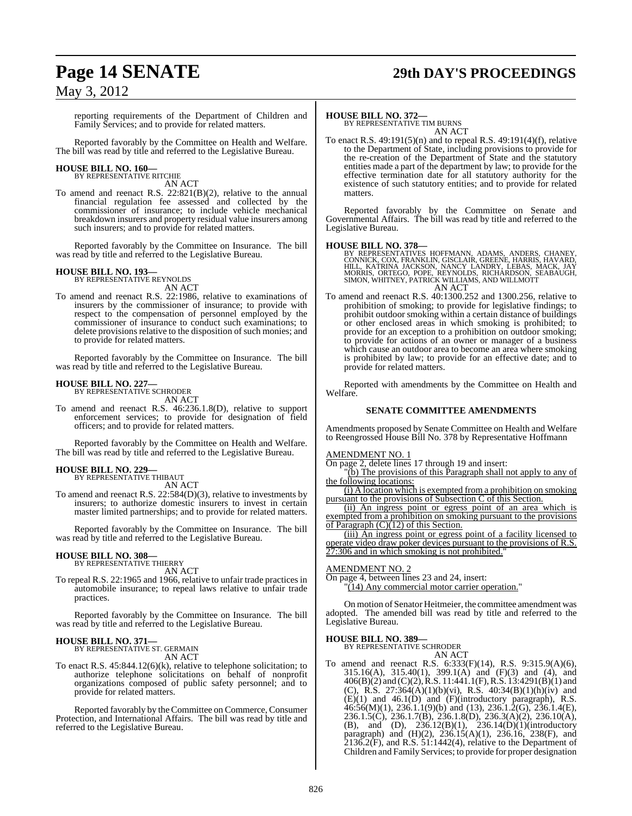### **Page 14 SENATE 29th DAY'S PROCEEDINGS**

### May 3, 2012

reporting requirements of the Department of Children and Family Services; and to provide for related matters.

Reported favorably by the Committee on Health and Welfare. The bill was read by title and referred to the Legislative Bureau.

# **HOUSE BILL NO. 160—** BY REPRESENTATIVE RITCHIE

AN ACT

To amend and reenact R.S. 22:821(B)(2), relative to the annual financial regulation fee assessed and collected by the commissioner of insurance; to include vehicle mechanical breakdown insurers and property residual value insurers among such insurers; and to provide for related matters.

Reported favorably by the Committee on Insurance. The bill was read by title and referred to the Legislative Bureau.

**HOUSE BILL NO. 193—** BY REPRESENTATIVE REYNOLDS AN ACT

To amend and reenact R.S. 22:1986, relative to examinations of insurers by the commissioner of insurance; to provide with respect to the compensation of personnel employed by the commissioner of insurance to conduct such examinations; to delete provisions relative to the disposition of such monies; and to provide for related matters.

Reported favorably by the Committee on Insurance. The bill was read by title and referred to the Legislative Bureau.

#### **HOUSE BILL NO. 227—** BY REPRESENTATIVE SCHRODER

AN ACT

To amend and reenact R.S. 46:236.1.8(D), relative to support enforcement services; to provide for designation of field officers; and to provide for related matters.

Reported favorably by the Committee on Health and Welfare. The bill was read by title and referred to the Legislative Bureau.

### **HOUSE BILL NO. 229—**

BY REPRESENTATIVE THIBAUT AN ACT

To amend and reenact R.S. 22:584(D)(3), relative to investments by insurers; to authorize domestic insurers to invest in certain master limited partnerships; and to provide for related matters.

Reported favorably by the Committee on Insurance. The bill was read by title and referred to the Legislative Bureau.

#### **HOUSE BILL NO. 308—**

BY REPRESENTATIVE THIERRY AN ACT

To repeal R.S. 22:1965 and 1966, relative to unfair trade practices in automobile insurance; to repeal laws relative to unfair trade practices.

Reported favorably by the Committee on Insurance. The bill was read by title and referred to the Legislative Bureau.

#### **HOUSE BILL NO. 371—** BY REPRESENTATIVE ST. GERMAIN AN ACT

To enact R.S. 45:844.12(6)(k), relative to telephone solicitation; to authorize telephone solicitations on behalf of nonprofit organizations composed of public safety personnel; and to provide for related matters.

Reported favorably by the Committee on Commerce, Consumer Protection, and International Affairs. The bill was read by title and referred to the Legislative Bureau.

#### **HOUSE BILL NO. 372—**

BY REPRESENTATIVE TIM BURNS AN ACT

To enact R.S. 49:191(5)(n) and to repeal R.S. 49:191(4)(f), relative to the Department of State, including provisions to provide for the re-creation of the Department of State and the statutory entities made a part of the department by law; to provide for the effective termination date for all statutory authority for the existence of such statutory entities; and to provide for related matters.

Reported favorably by the Committee on Senate and Governmental Affairs. The bill was read by title and referred to the Legislative Bureau.

#### **HOUSE BILL NO. 378—**

BY REPRESENTATIVES HOFFMANN, ADAMS, ANDERS, CHANEY,<br>CONNICK, COX, FRANKLIN, GISCLAIR, GREENE, HARRIS, HAVARD,<br>HILL, KATRINA JACKSON, NANCY LANDRY, LEBAS, MACK, JAY<br>MORRIS, ORTEGO, POPE, REYNOLDS, RICHARDSON, SEABAUGH,<br>SIMO AN ACT

To amend and reenact R.S. 40:1300.252 and 1300.256, relative to prohibition of smoking; to provide for legislative findings; to prohibit outdoor smoking within a certain distance of buildings or other enclosed areas in which smoking is prohibited; to provide for an exception to a prohibition on outdoor smoking; to provide for actions of an owner or manager of a business which cause an outdoor area to become an area where smoking is prohibited by law; to provide for an effective date; and to provide for related matters.

Reported with amendments by the Committee on Health and Welfare.

#### **SENATE COMMITTEE AMENDMENTS**

Amendments proposed by Senate Committee on Health and Welfare to Reengrossed House Bill No. 378 by Representative Hoffmann

#### AMENDMENT NO. 1

On page 2, delete lines 17 through 19 and insert:

 $(b)$  The provisions of this Paragraph shall not apply to any of the following locations:

(i) A location which is exempted from a prohibition on smoking pursuant to the provisions of Subsection C of this Section.

(ii) An ingress point or egress point of an area which is exempted from a prohibition on smoking pursuant to the provisions of Paragraph  $(C)(12)$  of this Section.

(iii) An ingress point or egress point of a facility licensed to operate video draw poker devices pursuant to the provisions of R.S. 7:306 and in which smoking is not prohibited.

#### AMENDMENT NO. 2

On page 4, between lines 23 and 24, insert:  $(14)$  Any commercial motor carrier operation."

On motion of Senator Heitmeier, the committee amendment was adopted. The amended bill was read by title and referred to the Legislative Bureau.

#### **HOUSE BILL NO. 389—**

BY REPRESENTATIVE SCHRODER AN ACT

To amend and reenact R.S. 6:333(F)(14), R.S. 9:315.9(A)(6), 315.16(A), 315.40(1), 399.1(A) and (F)(3) and (4), and 406(B)(2) and (C)(2), R.S. 11:441.1(F), R.S. 13:4291(B)(1) and (C), R.S. 27:364(A)(1)(b)(vi), R.S. 40:34(B)(1)(h)(iv) and (E)(1) and 46.1(D) and (F)(introductory paragraph), R.S.  $46:56(M)(1)$ ,  $236.1.1(9)(b)$  and  $(13)$ ,  $236.1.2(G)$ ,  $236.1.4(E)$ , 236.1.5(C), 236.1.7(B), 236.1.8(D), 236.3(A)(2), 236.10(A), (B), and (D), 236.12(B)(1), 236.14(D)(1)(introductory paragraph) and (H)(2), 236.15(A)(1), 236.16, 238(F), and  $2136.2$ (F), and R.S.  $51:1442(4)$ , relative to the Department of Children and Family Services; to provide for proper designation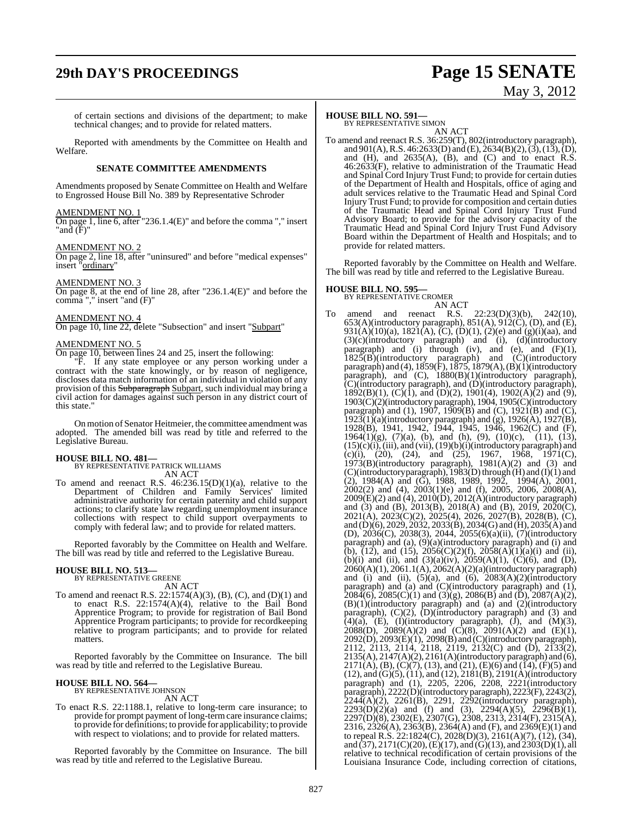of certain sections and divisions of the department; to make technical changes; and to provide for related matters.

Reported with amendments by the Committee on Health and Welfare.

#### **SENATE COMMITTEE AMENDMENTS**

Amendments proposed by Senate Committee on Health and Welfare to Engrossed House Bill No. 389 by Representative Schroder

#### AMENDMENT NO. 1

On page 1, line 6, after "236.1.4(E)" and before the comma "," insert "and (F)"

#### AMENDMENT NO. 2

On page 2, line 18, after "uninsured" and before "medical expenses" insert "ordinary"

#### AMENDMENT NO. 3

On page 8, at the end of line 28, after "236.1.4(E)" and before the comma "," insert "and (F)"

#### AMENDMENT NO. 4

On page 10, line 22, delete "Subsection" and insert "Subpart"

#### AMENDMENT NO. 5

On page 10, between lines 24 and 25, insert the following:

"F. If any state employee or any person working under a contract with the state knowingly, or by reason of negligence, discloses data match information of an individual in violation of any provision of this Subparagraph Subpart, such individual may bring a civil action for damages against such person in any district court of this state."

On motion of Senator Heitmeier, the committee amendment was adopted. The amended bill was read by title and referred to the Legislative Bureau.

# **HOUSE BILL NO. 481—** BY REPRESENTATIVE PATRICK WILLIAMS

AN ACT

To amend and reenact R.S.  $46:236.15(D)(1)(a)$ , relative to the Department of Children and Family Services' limited administrative authority for certain paternity and child support actions; to clarify state law regarding unemployment insurance collections with respect to child support overpayments to comply with federal law; and to provide for related matters.

Reported favorably by the Committee on Health and Welfare. The bill was read by title and referred to the Legislative Bureau.

### **HOUSE BILL NO. 513—** BY REPRESENTATIVE GREENE

AN ACT

To amend and reenact R.S. 22:1574(A)(3), (B), (C), and (D)(1) and to enact R.S. 22:1574(A)(4), relative to the Bail Bond Apprentice Program; to provide for registration of Bail Bond Apprentice Program participants; to provide for recordkeeping relative to program participants; and to provide for related matters.

Reported favorably by the Committee on Insurance. The bill was read by title and referred to the Legislative Bureau.

### **HOUSE BILL NO. 564—** BY REPRESENTATIVE JOHNSON

AN ACT

To enact R.S. 22:1188.1, relative to long-term care insurance; to provide for prompt payment of long-termcare insurance claims; to provide for definitions; to provide for applicability; to provide with respect to violations; and to provide for related matters.

Reported favorably by the Committee on Insurance. The bill was read by title and referred to the Legislative Bureau.

#### **HOUSE BILL NO. 591—**

BY REPRESENTATIVE SIMON AN ACT

To amend and reenact R.S. 36:259(T), 802(introductory paragraph), and  $901(A)$ , R.S.  $46:2633(D)$  and  $(E)$ ,  $2634(B)(2)$ ,  $(3)$ ,  $(13)$ ,  $(D)$ , and  $(H)$ , and  $2635(A)$ ,  $(B)$ , and  $(C)$  and to enact R.S. 46:2633(F), relative to administration of the Traumatic Head and Spinal Cord Injury Trust Fund; to provide for certain duties of the Department of Health and Hospitals, office of aging and adult services relative to the Traumatic Head and Spinal Cord Injury Trust Fund; to provide for composition and certain duties of the Traumatic Head and Spinal Cord Injury Trust Fund Advisory Board; to provide for the advisory capacity of the Traumatic Head and Spinal Cord Injury Trust Fund Advisory Board within the Department of Health and Hospitals; and to provide for related matters.

Reported favorably by the Committee on Health and Welfare. The bill was read by title and referred to the Legislative Bureau.

# **HOUSE BILL NO. 595—** BY REPRESENTATIVE CROMER

AN ACT

To amend and reenact R.S. 22:23(D)(3)(b), 242(10), 653(A)(introductory paragraph), 851(A), 912(C), (D), and (E), 931(A)(10)(a), 1821(A), (C), (D)(1), (2)(e) and (g)(i)(aa), and (3)(c)(introductory paragraph) and (i), (d)(introductory paragraph) and  $(i)$  through  $(iv)$ , and  $(e)$ , and  $(F)(1)$ ,  $1825(B)$ (introductory paragraph) and  $(C)$ (introductory paragraph) and (4),  $1859(F)$ ,  $1875$ ,  $1879(A)$ ,  $(B)(1)$ (introductory paragraph), and (C), 1880(B)(1)(introductory paragraph), (C)(introductory paragraph), and (D)(introductory paragraph),  $1892(B)(1)$ , (C)(1), and (D)(2), 1901(4), 1902(A)(2) and (9), 1903(C)(2)(introductory paragraph), 1904, 1905(C)(introductory paragraph) and (1), 1907, 1909(B) and (C), 1921(B) and (C),  $1923(1)(a)$ (introductory paragraph) and (g),  $1926(A)$ ,  $1927(B)$ , 1928(B), 1941, 1942, 1944, 1945, 1946, 1962(C) and (F), 1964(1)(g),  $(7)(a)$ , (b), and (h), (9), (10)(c), (11), (13),  $(15)(c)(i)$ ,  $(iii)$ , and  $(vii)$ ,  $(19)(b)(i)$ (introductory paragraph) and (c)(i), (20), (24), and (25), 1967, 1968, 1971(C), 1973(B)(introductory paragraph), 1981(A)(2) and (3) and (C)(introductory paragraph), 1983(D) through (H) and (I)(1) and (2), 1984(A) and (G), 1988, 1989, 1992, 1994(A), 2001, 2002(2) and (4), 2003(1)(e) and (f), 2005, 2006, 2008(A), 2009(E)(2) and (4), 2010(D), 2012(A)(introductory paragraph) and (3) and (B), 2013(B), 2018(A) and (B), 2019, 2020(C), 2021(A), 2023(C)(2), 2025(4), 2026, 2027(B), 2028(B), (C), and (D)(6), 2029, 2032, 2033(B), 2034(G) and (H), 2035(A) and (D), 2036(C), 2038(3), 2044, 2055(6)(a)(ii), (7)(introductory paragraph) and (a), (9)(a)(introductory paragraph) and (i) and (b),  $(12)$ , and  $(15)$ ,  $2056(C)(2)(f)$ ,  $2058(A)(1)(a)(i)$  and (ii), (b)(i) and (ii), and  $(3)(a)(iv)$ ,  $2059(A)(1)$ ,  $(C)(6)$ , and  $(D)$ , 2060(A)(1), 2061.1(A), 2062(A)(2)(a)(introductory paragraph) and (i) and (ii),  $(5)(a)$ , and  $(6)$ ,  $2083(A)(2)(\text{introducing}$ paragraph) and (a) and (C)(introductory paragraph) and (1),  $208\tilde{4}(6)$ ,  $2085(C)(1)$  and  $(3)(g)$ ,  $2086(B)$  and  $(\tilde{D})$ ,  $2087(A)(2)$ , (B)(1)(introductory paragraph) and (a) and (2)(introductory paragraph), (C)(2), (D)(introductory paragraph) and (3) and  $(4)(a)$ ,  $(E)$ ,  $(I)(introducing)$  paragraph),  $(J)$ , and  $(M)(3)$ ,  $2088(D)$ ,  $2089(A)(2)$  and  $(C)(8)$ ,  $2091(A)(2)$  and  $(E)(1)$ , 2092(D), 2093(E)(1), 2098(B) and (C)(introductory paragraph), 2112, 2113, 2114, 2118, 2119, 2132(C) and (D), 2133(2),  $2135(A), 2147(A)(2), 2161(A)$ (introductory paragraph) and (6)  $2171(A)$ , (B), (C)(7), (13), and (21), (E)(6) and (14), (F)(5) and (12), and (G)(5), (11), and (12), 2181(B), 2191(A)(introductory paragraph) and (1), 2205, 2206, 2208, 2221(introductory paragraph), 2222(D)(introductory paragraph), 2223(F), 2243(2), 2244(A)(2), 2261(B), 2291, 2292(introductory paragraph),  $2293(D)(2)(a)$  and (f) and (3),  $2294(A)(5)$ ,  $2296(B)(1)$ , 2297(D)(8), 2302(E), 2307(G), 2308, 2313, 2314(F), 2315(A), 2316, 2326(A), 2363(B), 2364(A) and (F), and 2369(E)(1) and to repeal R.S. 22:1824(C), 2028(D)(3), 2161(A)(7), (12), (34), and  $(37)$ ,  $2171(C)(20)$ ,  $(E)(17)$ , and  $(G)(13)$ , and  $2303(D)(1)$ , all relative to technical recodification of certain provisions of the Louisiana Insurance Code, including correction of citations,

# **29th DAY'S PROCEEDINGS Page 15 SENATE** May 3, 2012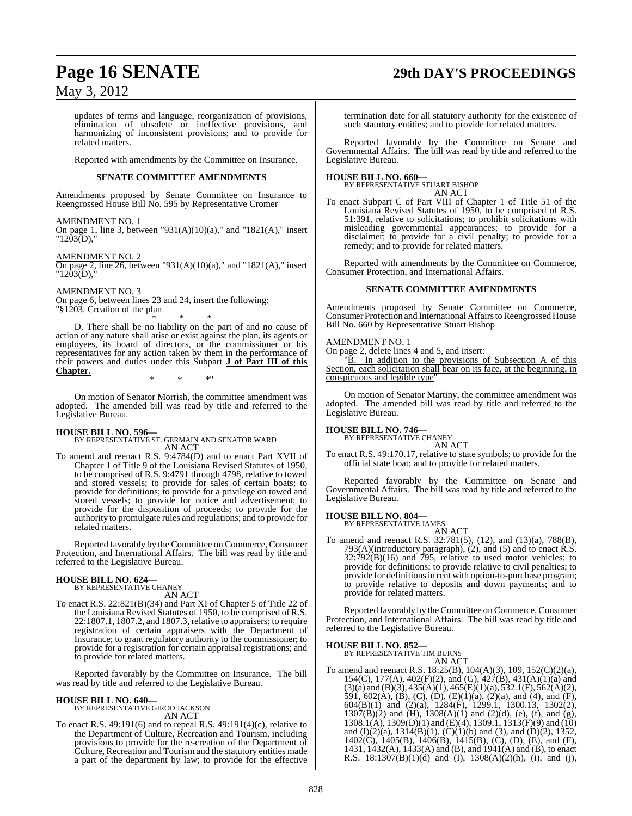## **Page 16 SENATE 29th DAY'S PROCEEDINGS**

### May 3, 2012

updates of terms and language, reorganization of provisions, elimination of obsolete or ineffective provisions, and harmonizing of inconsistent provisions; and to provide for related matters.

Reported with amendments by the Committee on Insurance.

#### **SENATE COMMITTEE AMENDMENTS**

Amendments proposed by Senate Committee on Insurance to Reengrossed House Bill No. 595 by Representative Cromer

#### AMENDMENT NO. 1

On page 1, line 3, between "931(A)(10)(a)," and "1821(A)," insert  $"1203(D),"$ 

#### AMENDMENT NO. 2

On page 2, line 26, between "931(A)(10)(a)," and "1821(A)," insert "1203(D),"

#### AMENDMENT NO. 3

On page 6, between lines 23 and 24, insert the following: "§1203. Creation of the plan

\* \* \* D. There shall be no liability on the part of and no cause of

action of any nature shall arise or exist against the plan, its agents or employees, its board of directors, or the commissioner or his representatives for any action taken by them in the performance of their powers and duties under this Subpart **J of Part III of this Chapter.** \* \* \*"

On motion of Senator Morrish, the committee amendment was adopted. The amended bill was read by title and referred to the

### **HOUSE BILL NO. 596—**

Legislative Bureau.

BY REPRESENTATIVE ST. GERMAIN AND SENATOR WARD AN ACT

To amend and reenact R.S. 9:4784(D) and to enact Part XVII of Chapter 1 of Title 9 of the Louisiana Revised Statutes of 1950, to be comprised of R.S. 9:4791 through 4798, relative to towed and stored vessels; to provide for sales of certain boats; to provide for definitions; to provide for a privilege on towed and stored vessels; to provide for notice and advertisement; to provide for the disposition of proceeds; to provide for the authority to promulgate rules and regulations; and to provide for related matters.

Reported favorably by the Committee on Commerce, Consumer Protection, and International Affairs. The bill was read by title and referred to the Legislative Bureau.

#### **HOUSE BILL NO. 624—**

BY REPRESENTATIVE CHANEY AN ACT

To enact R.S. 22:821(B)(34) and Part XI of Chapter 5 of Title 22 of the Louisiana Revised Statutes of 1950, to be comprised of R.S. 22:1807.1, 1807.2, and 1807.3, relative to appraisers; to require registration of certain appraisers with the Department of Insurance; to grant regulatory authority to the commissioner; to provide for a registration for certain appraisal registrations; and to provide for related matters.

Reported favorably by the Committee on Insurance. The bill was read by title and referred to the Legislative Bureau.

### **HOUSE BILL NO. 640—** BY REPRESENTATIVE GIROD JACKSON

AN ACT

To enact R.S. 49:191(6) and to repeal R.S. 49:191(4)(c), relative to the Department of Culture, Recreation and Tourism, including provisions to provide for the re-creation of the Department of Culture, Recreation and Tourism and the statutory entities made a part of the department by law; to provide for the effective

termination date for all statutory authority for the existence of such statutory entities; and to provide for related matters.

Reported favorably by the Committee on Senate and Governmental Affairs. The bill was read by title and referred to the Legislative Bureau.

### **HOUSE BILL NO. 660—** BY REPRESENTATIVE STUART BISHOP

AN ACT

To enact Subpart C of Part VIII of Chapter 1 of Title 51 of the Louisiana Revised Statutes of 1950, to be comprised of R.S. 51:391, relative to solicitations; to prohibit solicitations with misleading governmental appearances; to provide for a disclaimer; to provide for a civil penalty; to provide for a remedy; and to provide for related matters.

Reported with amendments by the Committee on Commerce, Consumer Protection, and International Affairs.

#### **SENATE COMMITTEE AMENDMENTS**

Amendments proposed by Senate Committee on Commerce, Consumer Protection and International Affairs to Reengrossed House Bill No. 660 by Representative Stuart Bishop

#### AMENDMENT NO. 1

On page 2, delete lines 4 and 5, and insert:

"B. In addition to the provisions of Subsection A of this Section, each solicitation shall bear on its face, at the beginning, in conspicuous and legible type"

On motion of Senator Martiny, the committee amendment was adopted. The amended bill was read by title and referred to the Legislative Bureau.

**HOUSE BILL NO. 746—** BY REPRESENTATIVE CHANEY

AN ACT

To enact R.S. 49:170.17, relative to state symbols; to provide for the official state boat; and to provide for related matters.

Reported favorably by the Committee on Senate and Governmental Affairs. The bill was read by title and referred to the Legislative Bureau.

### **HOUSE BILL NO. 804—** BY REPRESENTATIVE JAMES

AN ACT To amend and reenact R.S. 32:781(5), (12), and (13)(a), 788(B), 793(A)(introductory paragraph), (2), and (5) and to enact R.S.  $32:792(B)(16)$  and 795, relative to used motor vehicles; to provide for definitions; to provide relative to civil penalties; to provide for definitions in rent with option-to-purchase program; to provide relative to deposits and down payments; and to provide for related matters.

Reported favorably by the Committee on Commerce, Consumer Protection, and International Affairs. The bill was read by title and referred to the Legislative Bureau.

### **HOUSE BILL NO. 852—** BY REPRESENTATIVE TIM BURNS

AN ACT

To amend and reenact R.S. 18:25(B), 104(A)(3), 109, 152(C)(2)(a), 154(C), 177(A), 402(F)(2), and (G), 427(B), 431(A)(1)(a) and  $(3)(a)$  and  $(B)(3)$ ,  $435(A)(1)$ ,  $465(E)(1)(a)$ ,  $532.1(F)$ ,  $562(A)(2)$ , 591, 602(A), (B), (C), (D), (E)(1)(a), (2)(a), and (4), and (F), 604(B)(1) and (2)(a), 1284(F), 1299.1, 1300.13, 1302(2),  $1307(B)(2)$  and  $(H)$ ,  $1308(A)(1)$  and  $(2)(d)$ , (e), (f), and (g), 1308.1(A), 1309(D)(1) and (E)(4), 1309.1, 1313(F)(9) and (10) and (I)(2)(a),  $1314(B)(1)$ , (C)(1)(b) and (3), and (D)(2), 1352, 1402(C), 1405(B), 1406(B), 1415(B), (C), (D), (E), and (F), 1431, 1432(A), 1433(A) and (B), and 1941(A) and (B), to enact R.S. 18:1307(B)(1)(d) and (I), 1308(A)(2)(h), (i), and (j),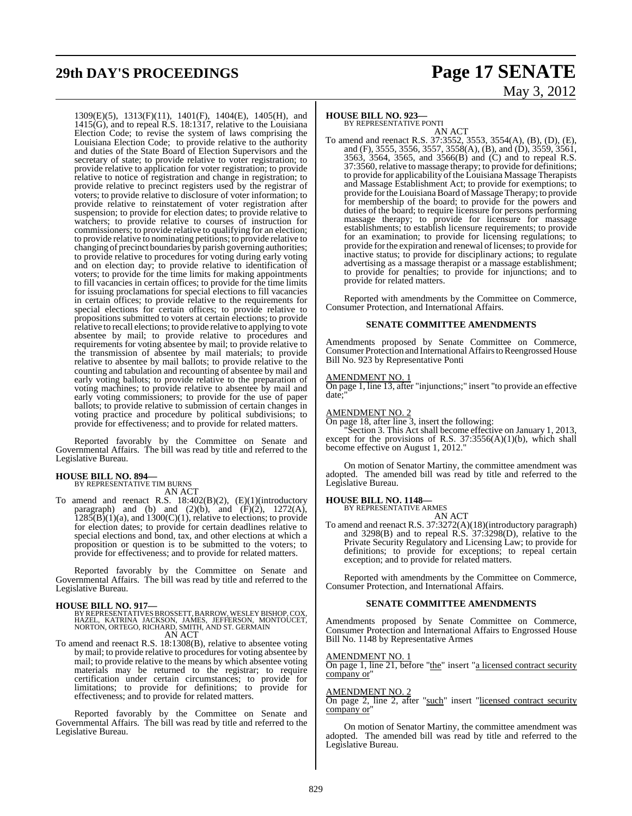#### 1309(E)(5), 1313(F)(11), 1401(F), 1404(E), 1405(H), and 1415(G), and to repeal R.S. 18:1317, relative to the Louisiana Election Code; to revise the system of laws comprising the Louisiana Election Code; to provide relative to the authority and duties of the State Board of Election Supervisors and the secretary of state; to provide relative to voter registration; to provide relative to application for voter registration; to provide relative to notice of registration and change in registration; to provide relative to precinct registers used by the registrar of voters; to provide relative to disclosure of voter information; to provide relative to reinstatement of voter registration after suspension; to provide for election dates; to provide relative to watchers; to provide relative to courses of instruction for commissioners; to provide relative to qualifying for an election; to provide relative to nominating petitions; to provide relative to changing of precinct boundaries by parish governing authorities; to provide relative to procedures for voting during early voting and on election day; to provide relative to identification of voters; to provide for the time limits for making appointments to fill vacancies in certain offices; to provide for the time limits for issuing proclamations for special elections to fill vacancies in certain offices; to provide relative to the requirements for special elections for certain offices; to provide relative to propositions submitted to voters at certain elections; to provide relative to recall elections; to provide relative to applying to vote absentee by mail; to provide relative to procedures and requirements for voting absentee by mail; to provide relative to the transmission of absentee by mail materials; to provide relative to absentee by mail ballots; to provide relative to the counting and tabulation and recounting of absentee by mail and early voting ballots; to provide relative to the preparation of voting machines; to provide relative to absentee by mail and early voting commissioners; to provide for the use of paper ballots; to provide relative to submission of certain changes in voting practice and procedure by political subdivisions; to provide for effectiveness; and to provide for related matters.

Reported favorably by the Committee on Senate and Governmental Affairs. The bill was read by title and referred to the Legislative Bureau.

# **HOUSE BILL NO. 894—** BY REPRESENTATIVE TIM BURNS

AN ACT

To amend and reenact R.S. 18:402(B)(2), (E)(1)(introductory paragraph) and (b) and (2)(b), and  $(F)(2)$ , 1272(A),  $1285(B)(1)(a)$ , and  $1300(C)(1)$ , relative to elections; to provide for election dates; to provide for certain deadlines relative to special elections and bond, tax, and other elections at which a proposition or question is to be submitted to the voters; to provide for effectiveness; and to provide for related matters.

Reported favorably by the Committee on Senate and Governmental Affairs. The bill was read by title and referred to the Legislative Bureau.

#### **HOUSE BILL NO. 917—**

### BY REPRESENTATIVES BROSSETT, BARROW, WESLEY BISHOP, COX,<br>HAZEL, KATRINA JACKSON, JAMES, JEFFERSON, MONTOUCET,<br>NORTON, ORTEGO, RICHARD, SMITH, AND ST. GERMAIN AN ACT

To amend and reenact R.S. 18:1308(B), relative to absentee voting by mail; to provide relative to procedures for voting absentee by mail; to provide relative to the means by which absentee voting materials may be returned to the registrar; to require certification under certain circumstances; to provide for limitations; to provide for definitions; to provide for effectiveness; and to provide for related matters.

Reported favorably by the Committee on Senate and Governmental Affairs. The bill was read by title and referred to the Legislative Bureau.

# **29th DAY'S PROCEEDINGS Page 17 SENATE** May 3, 2012

### **HOUSE BILL NO. 923—**

BY REPRESENTATIVE PONTI AN ACT

To amend and reenact R.S. 37:3552, 3553, 3554(A), (B), (D), (E), and (F), 3555, 3556, 3557, 3558(A), (B), and (D), 3559, 3561, 3563, 3564, 3565, and 3566(B) and (C) and to repeal R.S. 37:3560, relative to massage therapy; to provide for definitions; to provide for applicability of the Louisiana Massage Therapists and Massage Establishment Act; to provide for exemptions; to provide for the Louisiana Board of Massage Therapy; to provide for membership of the board; to provide for the powers and duties of the board; to require licensure for persons performing massage therapy; to provide for licensure for massage establishments; to establish licensure requirements; to provide for an examination; to provide for licensing regulations; to provide for the expiration and renewal of licenses; to provide for inactive status; to provide for disciplinary actions; to regulate advertising as a massage therapist or a massage establishment; to provide for penalties; to provide for injunctions; and to provide for related matters.

Reported with amendments by the Committee on Commerce, Consumer Protection, and International Affairs.

#### **SENATE COMMITTEE AMENDMENTS**

Amendments proposed by Senate Committee on Commerce, Consumer Protection and International Affairs to Reengrossed House Bill No. 923 by Representative Ponti

#### AMENDMENT NO. 1

On page 1, line 13, after "injunctions;" insert "to provide an effective date;"

#### AMENDMENT NO. 2

On page 18, after line 3, insert the following:

"Section 3. This Act shall become effective on January 1, 2013, except for the provisions of R.S. 37:3556(A)(1)(b), which shall become effective on August 1, 2012."

On motion of Senator Martiny, the committee amendment was adopted. The amended bill was read by title and referred to the Legislative Bureau.

#### **HOUSE BILL NO. 1148—**

BY REPRESENTATIVE ARMES

AN ACT To amend and reenact R.S. 37:3272(A)(18)(introductory paragraph) and 3298(B) and to repeal R.S. 37:3298(D), relative to the Private Security Regulatory and Licensing Law; to provide for definitions; to provide for exceptions; to repeal certain exception; and to provide for related matters.

Reported with amendments by the Committee on Commerce, Consumer Protection, and International Affairs.

#### **SENATE COMMITTEE AMENDMENTS**

Amendments proposed by Senate Committee on Commerce, Consumer Protection and International Affairs to Engrossed House Bill No. 1148 by Representative Armes

#### AMENDMENT NO. 1

On page 1, line 21, before "the" insert "a licensed contract security company or"

#### AMENDMENT NO. 2

On page 2, line 2, after "such" insert "licensed contract security company or"

On motion of Senator Martiny, the committee amendment was adopted. The amended bill was read by title and referred to the Legislative Bureau.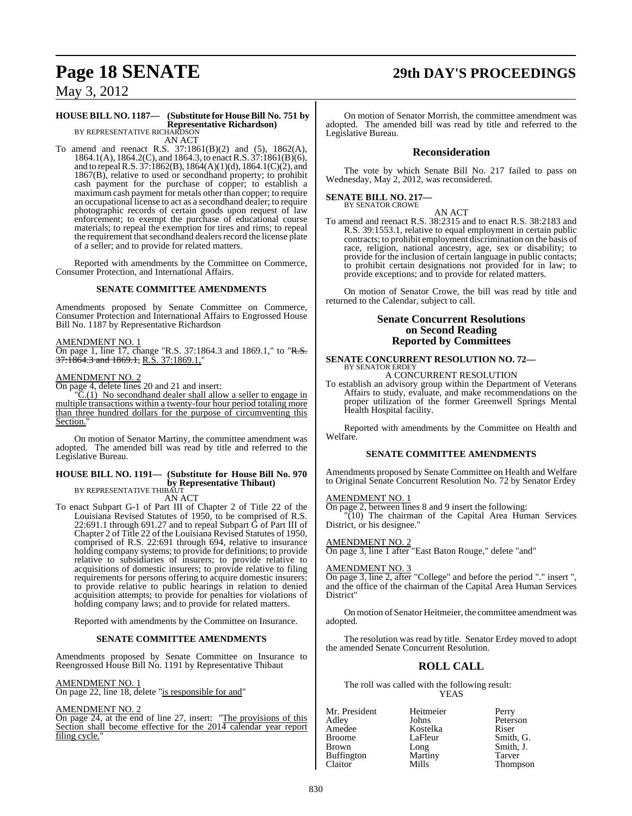## **Page 18 SENATE 29th DAY'S PROCEEDINGS**

May 3, 2012

#### **HOUSE BILL NO. 1187— (Substitute for HouseBill No. 751 by Representative Richardson)** BY REPRESENTATIVE RICHARDSON

AN ACT

To amend and reenact R.S. 37:1861(B)(2) and (5), 1862(A), 1864.1(A), 1864.2(C), and 1864.3, to enact R.S. 37:1861(B)(6), and to repealR.S. 37:1862(B), 1864(A)(1)(d), 1864.1(C)(2), and 1867(B), relative to used or secondhand property; to prohibit cash payment for the purchase of copper; to establish a maximum cash payment for metals other than copper; to require an occupational license to act as a secondhand dealer; to require photographic records of certain goods upon request of law enforcement; to exempt the purchase of educational course materials; to repeal the exemption for tires and rims; to repeal the requirement that secondhand dealers record the license plate of a seller; and to provide for related matters.

Reported with amendments by the Committee on Commerce, Consumer Protection, and International Affairs.

#### **SENATE COMMITTEE AMENDMENTS**

Amendments proposed by Senate Committee on Commerce, Consumer Protection and International Affairs to Engrossed House Bill No. 1187 by Representative Richardson

AMENDMENT NO. 1

On page 1, line 17, change "R.S. 37:1864.3 and 1869.1," to "R.S. 37:1864.3 and 1869.1, R.S. 37:1869.1,"

#### AMENDMENT NO. 2

On page 4, delete lines 20 and 21 and insert:

 $\overline{C}(1)$  No secondhand dealer shall allow a seller to engage in multiple transactions within a twenty-four hour period totaling more than three hundred dollars for the purpose of circumventing this Section.

On motion of Senator Martiny, the committee amendment was adopted. The amended bill was read by title and referred to the Legislative Bureau.

### **HOUSE BILL NO. 1191— (Substitute for House Bill No. 970 by Representative Thibaut)**<br>BY REPRESENTATIVE THIBAUT

AN ACT

To enact Subpart G-1 of Part III of Chapter 2 of Title 22 of the Louisiana Revised Statutes of 1950, to be comprised of R.S. 22:691.1 through 691.27 and to repeal Subpart  $\dot{G}$  of Part III of Chapter 2 of Title 22 of the Louisiana Revised Statutes of 1950, comprised of R.S. 22:691 through 694, relative to insurance holding company systems; to provide for definitions; to provide relative to subsidiaries of insurers; to provide relative to acquisitions of domestic insurers; to provide relative to filing requirements for persons offering to acquire domestic insurers; to provide relative to public hearings in relation to denied acquisition attempts; to provide for penalties for violations of holding company laws; and to provide for related matters.

Reported with amendments by the Committee on Insurance.

#### **SENATE COMMITTEE AMENDMENTS**

Amendments proposed by Senate Committee on Insurance to Reengrossed House Bill No. 1191 by Representative Thibaut

#### AMENDMENT NO. 1

On page 22, line 18, delete "is responsible for and"

#### AMENDMENT NO. 2

On page 24, at the end of line 27, insert: "The provisions of this Section shall become effective for the 2014 calendar year report filing cycle."

On motion of Senator Morrish, the committee amendment was adopted. The amended bill was read by title and referred to the Legislative Bureau.

#### **Reconsideration**

The vote by which Senate Bill No. 217 failed to pass on Wednesday, May 2, 2012, was reconsidered.

### **SENATE BILL NO. 217—** BY SENATOR CROWE

AN ACT

To amend and reenact R.S. 38:2315 and to enact R.S. 38:2183 and R.S. 39:1553.1, relative to equal employment in certain public contracts; to prohibit employment discrimination on the basis of race, religion, national ancestry, age, sex or disability; to provide for the inclusion of certain language in public contacts; to prohibit certain designations not provided for in law; to provide exceptions; and to provide for related matters.

On motion of Senator Crowe, the bill was read by title and returned to the Calendar, subject to call.

#### **Senate Concurrent Resolutions on Second Reading Reported by Committees**

## **SENATE CONCURRENT RESOLUTION NO. 72—** BY SENATOR ERDEY

A CONCURRENT RESOLUTION

To establish an advisory group within the Department of Veterans Affairs to study, evaluate, and make recommendations on the proper utilization of the former Greenwell Springs Mental Health Hospital facility.

Reported with amendments by the Committee on Health and Welfare.

#### **SENATE COMMITTEE AMENDMENTS**

Amendments proposed by Senate Committee on Health and Welfare to Original Senate Concurrent Resolution No. 72 by Senator Erdey

#### AMENDMENT NO. 1

On page 2, between lines 8 and 9 insert the following:

"(10) The chairman of the Capital Area Human Services District, or his designee."

#### AMENDMENT NO. 2

On page 3, line 1 after "East Baton Rouge," delete "and"

#### AMENDMENT NO. 3

On page 3, line 2, after "College" and before the period "." insert ", and the office of the chairman of the Capital Area Human Services District"

Onmotion of Senator Heitmeier, the committee amendment was adopted.

The resolution was read by title. Senator Erdey moved to adopt the amended Senate Concurrent Resolution.

### **ROLL CALL**

The roll was called with the following result: YEAS

Kostelka<br>LaFleur

| Mr. President |  |
|---------------|--|
| Adley         |  |
| Amedee        |  |
| Broome        |  |
| Brown         |  |
| Buffington    |  |
| $r$ laitor    |  |

Heitmeier Perry<br>Johns Peters Peterson<br>Riser LaFleur Smith, G.<br>Long Smith, J. Smith, J. Martiny Tarver<br>Mills Thomp Thompson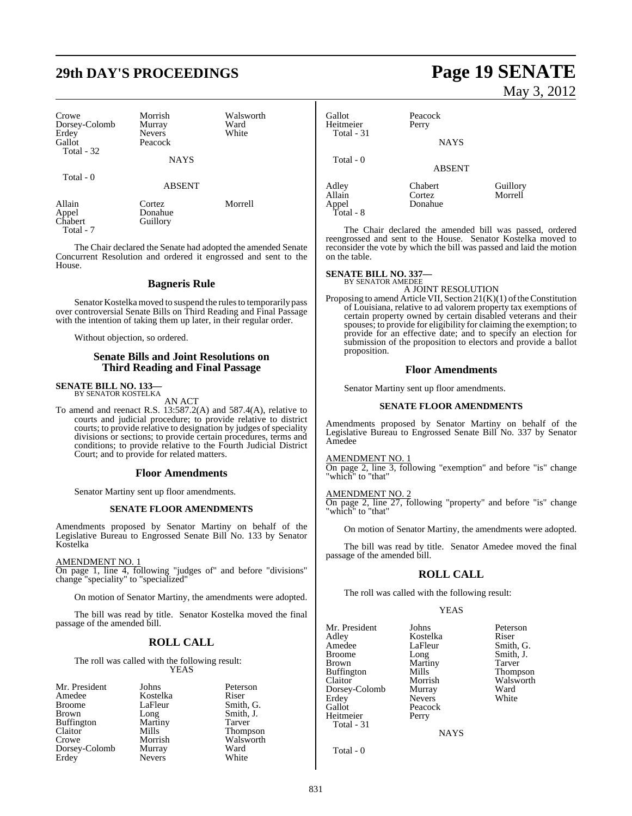# **29th DAY'S PROCEEDINGS Page 19 SENATE**

| Crowe<br>Dorsey-Colomb<br>Erdey<br>Gallot<br><b>Total - 32</b> | Morrish<br>Murray<br><b>Nevers</b><br>Peacock<br><b>NAYS</b> | Walsworth<br>Ward<br>White |
|----------------------------------------------------------------|--------------------------------------------------------------|----------------------------|
| Total - 0                                                      | <b>ABSENT</b>                                                |                            |
| Allain<br>Appel<br>Chabert                                     | Cortez<br>Donahue<br>Guillory                                | Morrell                    |

Total - 7

The Chair declared the Senate had adopted the amended Senate Concurrent Resolution and ordered it engrossed and sent to the House.

#### **Bagneris Rule**

Senator Kostelka moved to suspend the rules to temporarily pass over controversial Senate Bills on Third Reading and Final Passage with the intention of taking them up later, in their regular order.

Without objection, so ordered.

#### **Senate Bills and Joint Resolutions on Third Reading and Final Passage**

### **SENATE BILL NO. 133—** BY SENATOR KOSTELKA

AN ACT

To amend and reenact R.S. 13:587.2(A) and 587.4(A), relative to courts and judicial procedure; to provide relative to district courts; to provide relative to designation by judges of speciality divisions or sections; to provide certain procedures, terms and conditions; to provide relative to the Fourth Judicial District Court; and to provide for related matters.

#### **Floor Amendments**

Senator Martiny sent up floor amendments.

#### **SENATE FLOOR AMENDMENTS**

Amendments proposed by Senator Martiny on behalf of the Legislative Bureau to Engrossed Senate Bill No. 133 by Senator Kostelka

#### AMENDMENT NO. 1

On page 1, line 4, following "judges of" and before "divisions" change "speciality" to "specialized"

On motion of Senator Martiny, the amendments were adopted.

The bill was read by title. Senator Kostelka moved the final passage of the amended bill.

### **ROLL CALL**

The roll was called with the following result: YEAS

| Mr. President     | Johns         | Peterson  |
|-------------------|---------------|-----------|
| Amedee            | Kostelka      | Riser     |
| <b>Broome</b>     | LaFleur       | Smith, G. |
| <b>Brown</b>      | Long          | Smith, J. |
| <b>Buffington</b> | Martiny       | Tarver    |
| Claitor           | Mills         | Thompson  |
| Crowe             | Morrish       | Walsworth |
| Dorsey-Colomb     | Murray        | Ward      |
| Erdey             | <b>Nevers</b> | White     |

# May 3, 2012

| Gallot<br>Heitmeier<br>Total - 31     | Peacock<br>Perry<br><b>NAYS</b> |                     |
|---------------------------------------|---------------------------------|---------------------|
| Total - 0                             | <b>ABSENT</b>                   |                     |
| Adley<br>Allain<br>Appel<br>Total - 8 | Chabert<br>Cortez<br>Donahue    | Guillory<br>Morrell |

The Chair declared the amended bill was passed, ordered reengrossed and sent to the House. Senator Kostelka moved to reconsider the vote by which the bill was passed and laid the motion on the table.

#### **SENATE BILL NO. 337—** BY SENATOR AMEDEE

A JOINT RESOLUTION

Proposing to amend Article VII, Section  $21(K)(1)$  of the Constitution of Louisiana, relative to ad valorem property tax exemptions of certain property owned by certain disabled veterans and their spouses; to provide for eligibility for claiming the exemption; to provide for an effective date; and to specify an election for submission of the proposition to electors and provide a ballot proposition.

#### **Floor Amendments**

Senator Martiny sent up floor amendments.

#### **SENATE FLOOR AMENDMENTS**

Amendments proposed by Senator Martiny on behalf of the Legislative Bureau to Engrossed Senate Bill No. 337 by Senator Amedee

#### AMENDMENT NO. 1

On page 2, line 3, following "exemption" and before "is" change "which" to "that"

#### AMENDMENT NO. 2

On page 2, line 27, following "property" and before "is" change 'which" to "that"

On motion of Senator Martiny, the amendments were adopted.

The bill was read by title. Senator Amedee moved the final passage of the amended bill.

### **ROLL CALL**

The roll was called with the following result:

Peacock<br>Perry

#### YEAS

Mr. President Johns Peterson<br>Adley Kostelka Riser Adley Kostelka<br>Amedee LaFleur Broome Long Smith, J.<br>Brown Martiny Tarver Buffington Mills<br>Claitor Morrish Dorsey-Colomb Murray Ward<br>Erdey Nevers White Erdey Nevers<br>Gallot Peacoc Heitmeier Total - 31

Smith, G. Martiny Tarver<br>
Mills Thompson Morrish Walsworth<br>
Murray Ward

**NAYS** 

Total - 0

831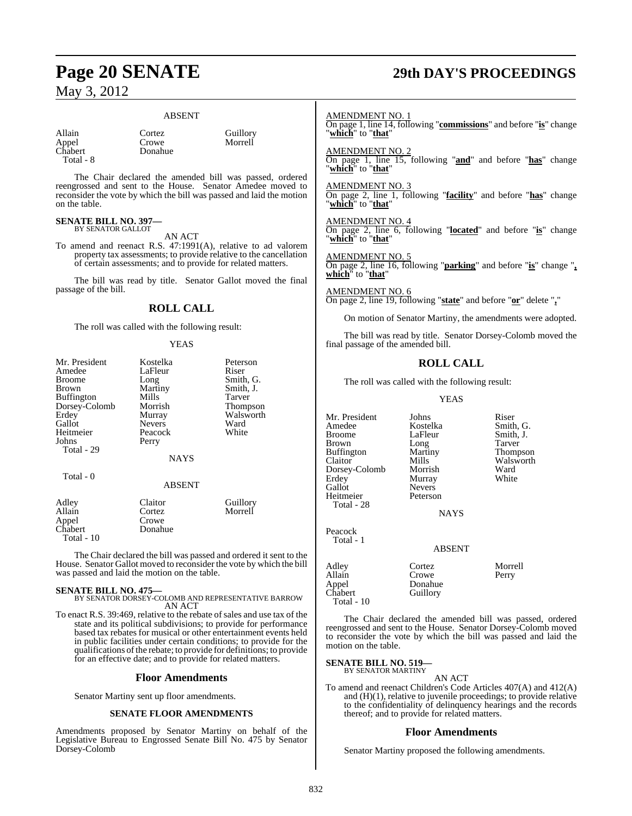#### ABSENT

Allain Cortez Guillory<br>Appel Crowe Morrell Chabert Total - 8

Crowe Morrell<br>Donahue Morrell

The Chair declared the amended bill was passed, ordered reengrossed and sent to the House. Senator Amedee moved to reconsider the vote by which the bill was passed and laid the motion on the table.

#### **SENATE BILL NO. 397—** BY SENATOR GALLOT

AN ACT

To amend and reenact R.S. 47:1991(A), relative to ad valorem property tax assessments; to provide relative to the cancellation of certain assessments; and to provide for related matters.

The bill was read by title. Senator Gallot moved the final passage of the bill.

### **ROLL CALL**

The roll was called with the following result:

#### YEAS

| Mr. President<br>Amedee<br><b>Broome</b><br>Brown<br>Buffington<br>Dorsey-Colomb<br>Erdey<br>Gallot | Kostelka<br>LaFleur<br>Long<br>Martiny<br>Mills<br>Morrish<br>Murray<br><b>Nevers</b> | Peterson<br>Riser<br>Smith, G.<br>Smith, J.<br>Tarver<br>Thompson<br>Walsworth<br>Ward |
|-----------------------------------------------------------------------------------------------------|---------------------------------------------------------------------------------------|----------------------------------------------------------------------------------------|
| Heitmeier<br>Johns<br>Total - 29                                                                    | Peacock<br>Perry                                                                      | White                                                                                  |
|                                                                                                     | NAYS                                                                                  |                                                                                        |
| Total - 0                                                                                           | ABSENT                                                                                |                                                                                        |
| Adley<br>Allain<br>Appel<br>Chabert<br>Total - 10                                                   | Claitor<br>Cortez<br>Crowe<br>Donahue                                                 | Guillory<br>Morrell                                                                    |

The Chair declared the bill was passed and ordered it sent to the House. Senator Gallot moved to reconsider the vote by which the bill was passed and laid the motion on the table.

**SENATE BILL NO. 475—** BY SENATOR DORSEY-COLOMB AND REPRESENTATIVE BARROW AN ACT

To enact R.S. 39:469, relative to the rebate of sales and use tax of the state and its political subdivisions; to provide for performance based tax rebates for musical or other entertainment events held in public facilities under certain conditions; to provide for the qualifications ofthe rebate; to provide for definitions; to provide for an effective date; and to provide for related matters.

#### **Floor Amendments**

Senator Martiny sent up floor amendments.

#### **SENATE FLOOR AMENDMENTS**

Amendments proposed by Senator Martiny on behalf of the Legislative Bureau to Engrossed Senate Bill No. 475 by Senator Dorsey-Colomb

# **Page 20 SENATE 29th DAY'S PROCEEDINGS**

#### AMENDMENT NO. 1

On page 1, line 14, following "**commissions**" and before "**is**" change "**which**" to "**that**"

AMENDMENT NO. 2

On page 1, line 15, following "**and**" and before "**has**" change "**which**" to "**that**"

AMENDMENT NO. 3

On page 2, line 1, following "**facility**" and before "**has**" change "**which**" to "**that**"

AMENDMENT NO. 4

On page 2, line 6, following "**located**" and before "**is**" change "**which**" to "**that**"

### AMENDMENT NO. 5

On page 2, line 16, following "**parking**" and before "**is**" change "**, which**" to "**that**"

AMENDMENT NO. 6 On page 2, line 19, following "**state**" and before "**or**" delete "**,**"

On motion of Senator Martiny, the amendments were adopted.

The bill was read by title. Senator Dorsey-Colomb moved the final passage of the amended bill.

### **ROLL CALL**

The roll was called with the following result:

YEAS

Mr. President Johns Riser<br>Amedee Kostelka Smith G Amedee Kostelka<br>Broome LaFleur Brown Long Tarver Buffington Marti<br>Claitor Mills Claitor Mills Walsworth<br>
Dorsey-Colomb Morrish Ward Dorsey-Colomb Morrish Ward Erdey Murray<br>Gallot Nevers Heitmeier Total - 28

Appel Chabert Total - 10

Nevers<br>Peterson

LaFleur Smith, J.<br>
Long Tarver

NAYS

Peacock Total - 1

| 1 Utal - 1      | <b>ABSENT</b>   |         |
|-----------------|-----------------|---------|
| Adley<br>Allain | Cortez<br>Crowe | Morrell |
|                 |                 | Perry   |
| Appel           | Donahue         |         |
| Chabert         | Guillory        |         |

The Chair declared the amended bill was passed, ordered reengrossed and sent to the House. Senator Dorsey-Colomb moved to reconsider the vote by which the bill was passed and laid the motion on the table.

#### **SENATE BILL NO. 519—** BY SENATOR MARTINY

AN ACT

To amend and reenact Children's Code Articles 407(A) and 412(A) and (H)(1), relative to juvenile proceedings; to provide relative to the confidentiality of delinquency hearings and the records thereof; and to provide for related matters.

#### **Floor Amendments**

Senator Martiny proposed the following amendments.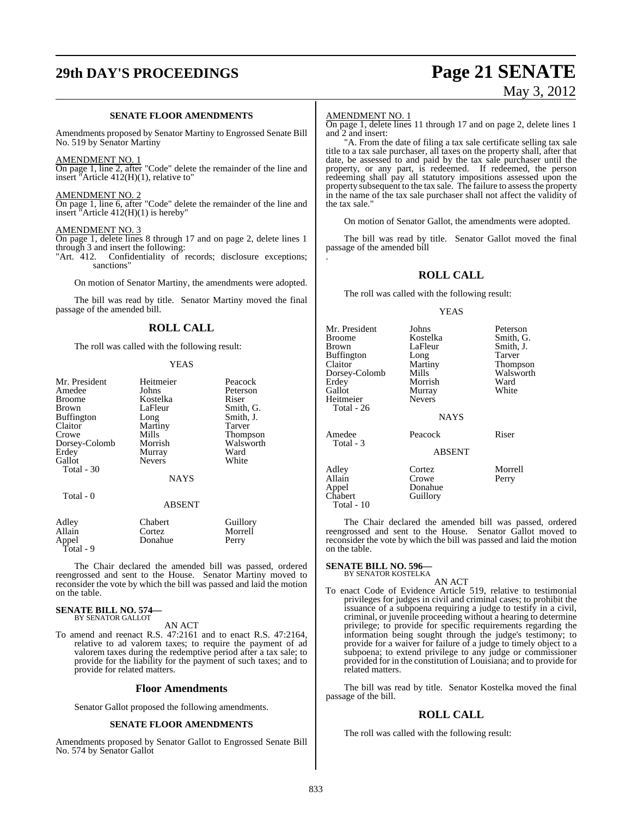# **29th DAY'S PROCEEDINGS Page 21 SENATE**

# May 3, 2012

#### **SENATE FLOOR AMENDMENTS**

Amendments proposed by Senator Martiny to Engrossed Senate Bill No. 519 by Senator Martiny

#### AMENDMENT NO. 1

On page 1, line 2, after "Code" delete the remainder of the line and insert "Article 412(H)(1), relative to"

#### AMENDMENT NO. 2

On page 1, line 6, after "Code" delete the remainder of the line and insert "Article 412(H)(1) is hereby"

#### AMENDMENT NO. 3

On page 1, delete lines 8 through 17 and on page 2, delete lines 1 through 3 and insert the following:<br>"Art. 412. Confidentiality of

Confidentiality of records; disclosure exceptions; sanctions'

On motion of Senator Martiny, the amendments were adopted.

The bill was read by title. Senator Martiny moved the final passage of the amended bill.

#### **ROLL CALL**

The roll was called with the following result:

#### YEAS

| Mr. President     | Heitmeier                  | Peacock              |
|-------------------|----------------------------|----------------------|
| Amedee            | Johns                      | Peterson             |
| <b>Broome</b>     | Kostelka                   | Riser                |
| <b>Brown</b>      | LaFleur                    | Smith, G.            |
| <b>Buffington</b> |                            | Smith, J.            |
|                   | Long                       |                      |
| Claitor           | Martiny                    | Tarver               |
| Crowe             | Mills                      | <b>Thompson</b>      |
| Dorsey-Colomb     | Morrish                    | Walsworth            |
| Erdey             | Murray                     | Ward                 |
| Gallot            | <b>Nevers</b>              | White                |
| Total - 30        |                            |                      |
|                   | <b>NAYS</b>                |                      |
| Total - 0         |                            |                      |
|                   | <b>ABSENT</b>              |                      |
| Adley             | Chabert                    | Guillory             |
| $\Delta$ llain    | $C_{\alpha*+\alpha\sigma}$ | $M_{\alpha}$ and $I$ |

| Adley     | Chabert | Guillory |
|-----------|---------|----------|
| Allain    | Cortez  | Morrell  |
| Appel     | Donahue | Perry    |
| Total - 9 |         |          |

The Chair declared the amended bill was passed, ordered reengrossed and sent to the House. Senator Martiny moved to reconsider the vote by which the bill was passed and laid the motion on the table.

### **SENATE BILL NO. 574—** BY SENATOR GALLOT

AN ACT

To amend and reenact R.S. 47:2161 and to enact R.S. 47:2164, relative to ad valorem taxes; to require the payment of ad valorem taxes during the redemptive period after a tax sale; to provide for the liability for the payment of such taxes; and to provide for related matters.

#### **Floor Amendments**

Senator Gallot proposed the following amendments.

#### **SENATE FLOOR AMENDMENTS**

Amendments proposed by Senator Gallot to Engrossed Senate Bill No. 574 by Senator Gallot

#### AMENDMENT NO. 1

On page 1, delete lines 11 through 17 and on page 2, delete lines 1 and 2 and insert:

"A. From the date of filing a tax sale certificate selling tax sale title to a tax sale purchaser, all taxes on the property shall, after that date, be assessed to and paid by the tax sale purchaser until the property, or any part, is redeemed. If redeemed, the person redeeming shall pay all statutory impositions assessed upon the property subsequent to the tax sale. The failure to assess the property in the name of the tax sale purchaser shall not affect the validity of the tax sale."

On motion of Senator Gallot, the amendments were adopted.

The bill was read by title. Senator Gallot moved the final passage of the amended bill .

### **ROLL CALL**

The roll was called with the following result:

#### YEAS

| Mr. President<br>Broome<br>Brown<br>Buffington<br>Claitor<br>Dorsey-Colomb<br>Erdey<br>Gallot<br>Heitmeier<br>Total - 26 | Johns<br>Kostelka<br>LaFleur<br>Long<br>Martiny<br>Mills<br>Morrish<br>Murray<br><b>Nevers</b><br><b>NAYS</b> | Peterson<br>Smith, G.<br>Smith, J.<br>Tarver<br>Thompson<br>Walsworth<br>Ward<br>White |
|--------------------------------------------------------------------------------------------------------------------------|---------------------------------------------------------------------------------------------------------------|----------------------------------------------------------------------------------------|
| Amedee<br>Total - 3                                                                                                      | Peacock<br><b>ABSENT</b>                                                                                      | Riser                                                                                  |
| Adley<br>Allain<br>Appel<br>Chabert<br>Total - 10                                                                        | Cortez<br>Crowe<br>Donahue<br>Guillory                                                                        | Morrell<br>Perry                                                                       |

The Chair declared the amended bill was passed, ordered reengrossed and sent to the House. Senator Gallot moved to reconsider the vote by which the bill was passed and laid the motion on the table.

#### **SENATE BILL NO. 596—** BY SENATOR KOSTELKA

AN ACT

To enact Code of Evidence Article 519, relative to testimonial privileges for judges in civil and criminal cases; to prohibit the issuance of a subpoena requiring a judge to testify in a civil, criminal, or juvenile proceeding without a hearing to determine privilege; to provide for specific requirements regarding the information being sought through the judge's testimony; to provide for a waiver for failure of a judge to timely object to a subpoena; to extend privilege to any judge or commissioner provided for in the constitution of Louisiana; and to provide for related matters.

The bill was read by title. Senator Kostelka moved the final passage of the bill.

### **ROLL CALL**

The roll was called with the following result: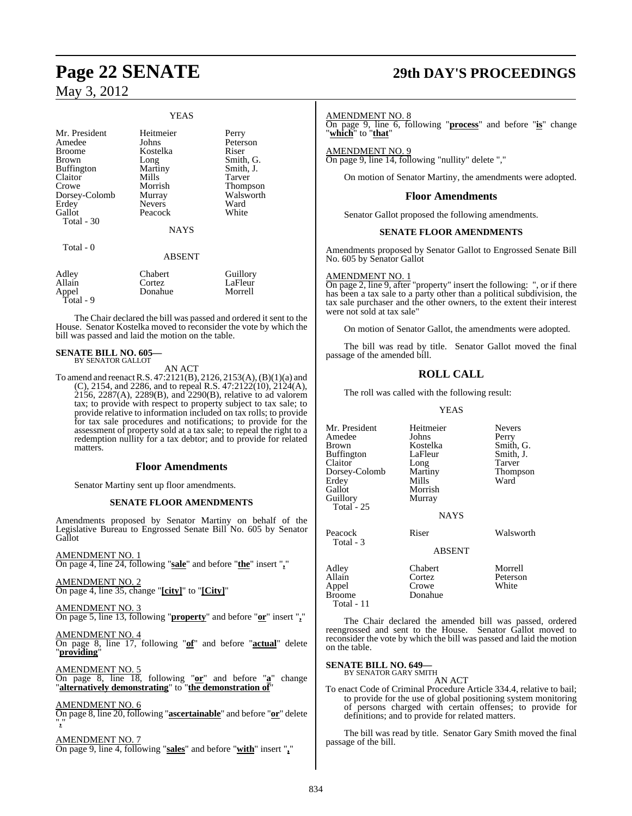#### YEAS

| Mr. President<br>Amedee<br><b>Broome</b><br><b>Brown</b><br><b>Buffington</b><br>Claitor<br>Crowe<br>Dorsey-Colomb<br>Erdey<br>Gallot<br>Total $-30$<br>Total - 0 | Heitmeier<br>Johns<br>Kostelka<br>Long<br>Martiny<br>Mills<br>Morrish<br>Murray<br><b>Nevers</b><br>Peacock<br><b>NAYS</b><br><b>ABSENT</b> | Perry<br>Peterson<br>Riser<br>Smith, G.<br>Smith, J.<br>Tarver<br><b>Thompson</b><br>Walsworth<br>Ward<br>White |
|-------------------------------------------------------------------------------------------------------------------------------------------------------------------|---------------------------------------------------------------------------------------------------------------------------------------------|-----------------------------------------------------------------------------------------------------------------|
| Adley                                                                                                                                                             | Chabert                                                                                                                                     | Guillory                                                                                                        |
| Allain                                                                                                                                                            | Cortez                                                                                                                                      | LaFleur                                                                                                         |

Appel Donahue Morrell Total - 9

The Chair declared the bill was passed and ordered it sent to the House. Senator Kostelka moved to reconsider the vote by which the bill was passed and laid the motion on the table.

#### **SENATE BILL NO. 605—** BY SENATOR GALLOT

AN ACT

To amend and reenactR.S. 47:2121(B), 2126, 2153(A),(B)(1)(a) and (C), 2154, and 2286, and to repeal R.S. 47:2122(10), 2124(A), 2156, 2287(A), 2289(B), and 2290(B), relative to ad valorem tax; to provide with respect to property subject to tax sale; to provide relative to information included on tax rolls; to provide for tax sale procedures and notifications; to provide for the assessment of property sold at a tax sale; to repeal the right to a redemption nullity for a tax debtor; and to provide for related matters.

### **Floor Amendments**

Senator Martiny sent up floor amendments.

#### **SENATE FLOOR AMENDMENTS**

Amendments proposed by Senator Martiny on behalf of the Legislative Bureau to Engrossed Senate Bill No. 605 by Senator Gallot

AMENDMENT NO. 1 On page 4, line 24, following "**sale**" and before "**the**" insert "**,**"

AMENDMENT NO. 2 On page 4, line 35, change "**[city]**" to "**[City]**"

AMENDMENT NO. 3 On page 5, line 13, following "**property**" and before "**or**" insert "**,**"

AMENDMENT NO. 4

On page 8, line 17, following "**of**" and before "**actual**" delete "**providing**"

AMENDMENT NO. 5 On page 8, line 18, following "**or**" and before "**a**" change "**alternatively demonstrating**" to "**the demonstration of**"

AMENDMENT NO. 6

On page 8, line 20, following "**ascertainable**" and before "**or**" delete "**,**"

AMENDMENT NO. 7 On page 9, line 4, following "**sales**" and before "**with**" insert "**,**"

# **Page 22 SENATE 29th DAY'S PROCEEDINGS**

#### AMENDMENT NO. 8

On page 9, line 6, following "**process**" and before "**is**" change "**which**" to "**that**"

AMENDMENT NO. 9

On page 9, line 14, following "nullity" delete ","

On motion of Senator Martiny, the amendments were adopted.

#### **Floor Amendments**

Senator Gallot proposed the following amendments.

#### **SENATE FLOOR AMENDMENTS**

Amendments proposed by Senator Gallot to Engrossed Senate Bill No. 605 by Senator Gallot

#### AMENDMENT NO. 1

On page 2, line 9, after "property" insert the following: ", or if there has been a tax sale to a party other than a political subdivision, the tax sale purchaser and the other owners, to the extent their interest were not sold at tax sale"

On motion of Senator Gallot, the amendments were adopted.

The bill was read by title. Senator Gallot moved the final passage of the amended bill.

### **ROLL CALL**

The roll was called with the following result:

YEAS

| Mr. President<br>Amedee<br><b>Brown</b><br><b>Buffington</b><br>Claitor<br>Dorsey-Colomb<br>Erdey<br>Gallot<br>Guillory<br>Total - $25$ | Heitmeier<br>Johns<br>Kostelka<br>LaFleur<br>Long<br>Martiny<br>Mills<br>Morrish<br>Murray<br><b>NAYS</b> | <b>Nevers</b><br>Perry<br>Smith, G.<br>Smith, J.<br>Tarver<br><b>Thompson</b><br>Ward |
|-----------------------------------------------------------------------------------------------------------------------------------------|-----------------------------------------------------------------------------------------------------------|---------------------------------------------------------------------------------------|
| Peacock<br>Total - 3                                                                                                                    | Riser<br>ABSENT                                                                                           | Walsworth                                                                             |
| Adley<br>Allain<br>Appel<br><b>Broome</b><br>Total - 11                                                                                 | Chabert<br>Cortez<br>Crowe<br>Donahue                                                                     | Morrell<br>Peterson<br>White                                                          |

The Chair declared the amended bill was passed, ordered reengrossed and sent to the House. Senator Gallot moved to reconsider the vote by which the bill was passed and laid the motion on the table.

### **SENATE BILL NO. 649—** BY SENATOR GARY SMITH

AN ACT

To enact Code of Criminal Procedure Article 334.4, relative to bail; to provide for the use of global positioning system monitoring of persons charged with certain offenses; to provide for definitions; and to provide for related matters.

The bill was read by title. Senator Gary Smith moved the final passage of the bill.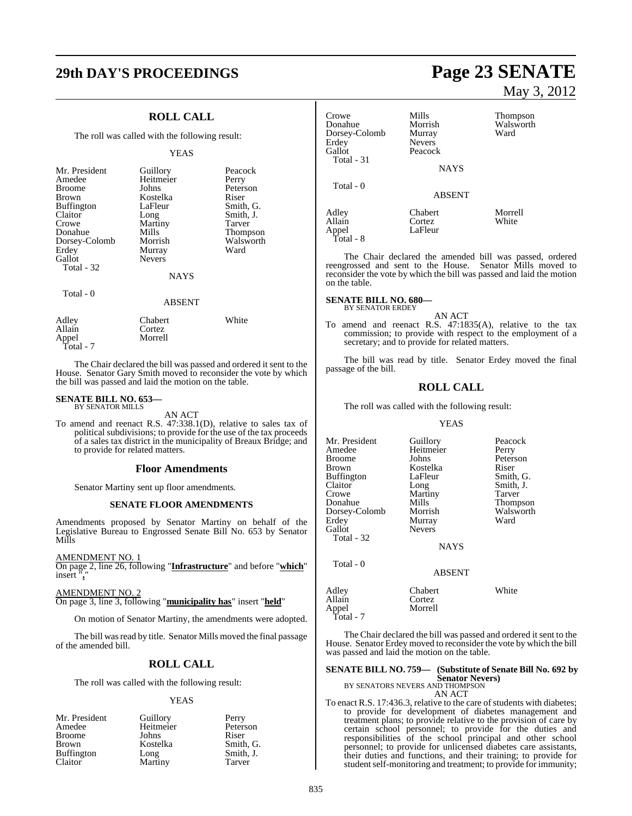## **29th DAY'S PROCEEDINGS Page 23 SENATE**

### **ROLL CALL**

The roll was called with the following result:

#### YEAS

| Mr. President<br>Amedee<br>Broome<br>Brown<br>Buffington<br>Claitor<br>Crowe<br>Donahue<br>Dorsey-Colomb<br>Erdey<br>Gallot<br>Total - 32 | Guillory<br>Heitmeier<br>Johns<br>Kostelka<br>LaFleur<br>Long<br>Martiny<br>Mills<br>Morrish<br>Murray<br><b>Nevers</b><br><b>NAYS</b> | Peacock<br>Perry<br>Peterson<br>Riser<br>Smith, G.<br>Smith, J.<br>Tarver<br>Thompson<br>Walsworth<br>Ward |
|-------------------------------------------------------------------------------------------------------------------------------------------|----------------------------------------------------------------------------------------------------------------------------------------|------------------------------------------------------------------------------------------------------------|
| Total - 0                                                                                                                                 | <b>ABSENT</b>                                                                                                                          |                                                                                                            |
| Adley<br>Allain<br>Appel                                                                                                                  | Chabert<br>Cortez<br>Morrell                                                                                                           | White                                                                                                      |

The Chair declared the bill was passed and ordered it sent to the House. Senator Gary Smith moved to reconsider the vote by which the bill was passed and laid the motion on the table.

#### **SENATE BILL NO. 653—** BY SENATOR MILLS

Total - 7

AN ACT

To amend and reenact R.S. 47:338.1(D), relative to sales tax of political subdivisions; to provide for the use of the tax proceeds of a sales tax district in the municipality of Breaux Bridge; and to provide for related matters.

#### **Floor Amendments**

Senator Martiny sent up floor amendments.

#### **SENATE FLOOR AMENDMENTS**

Amendments proposed by Senator Martiny on behalf of the Legislative Bureau to Engrossed Senate Bill No. 653 by Senator Mills

AMENDMENT NO. 1

On page 2, line 26, following "**Infrastructure**" and before "**which**" insert "**,**"

AMENDMENT NO. 2

On page 3, line 3, following "**municipality has**" insert "**held**"

On motion of Senator Martiny, the amendments were adopted.

The bill was read by title. Senator Mills moved the final passage of the amended bill.

### **ROLL CALL**

The roll was called with the following result:

#### YEAS

| Mr. President     | Guillory  | Perry     |
|-------------------|-----------|-----------|
| Amedee            | Heitmeier | Peterson  |
| <b>Broome</b>     | Johns     | Riser     |
| <b>Brown</b>      | Kostelka  | Smith, G. |
| <b>Buffington</b> | Long      | Smith, J. |
| Claitor           | Martiny   | Tarver    |

# May 3, 2012

| Crowe<br>Donahue<br>Dorsey-Colomb<br>Erdev<br>Gallot<br>Total - 31 | Mills<br>Morrish<br>Murray<br><b>Nevers</b><br>Peacock<br><b>NAYS</b> | <b>Thompson</b><br>Walsworth<br>Ward |
|--------------------------------------------------------------------|-----------------------------------------------------------------------|--------------------------------------|
| Total - 0                                                          | <b>ABSENT</b>                                                         |                                      |
| Adley<br>Allain<br>Appel<br>Total - 8                              | Chabert<br>Cortez<br>LaFleur                                          | Morrell<br>White                     |

The Chair declared the amended bill was passed, ordered reengrossed and sent to the House. Senator Mills moved to reconsider the vote by which the bill was passed and laid the motion on the table.

#### **SENATE BILL NO. 680—** BY SENATOR ERDEY

AN ACT

To amend and reenact R.S. 47:1835(A), relative to the tax commission; to provide with respect to the employment of a secretary; and to provide for related matters.

The bill was read by title. Senator Erdey moved the final passage of the bill.

#### **ROLL CALL**

The roll was called with the following result:

#### YEAS

| Mr. President<br>Amedee<br>Broome<br>Brown<br>Buffington<br>Claitor<br>Crowe<br>Donahue<br>Dorsey-Colomb<br>Erdev<br>Gallot<br>Total - 32<br>Total - 0 | Guillory<br>Heitmeier<br>Johns<br>Kostelka<br>LaFleur<br>Long<br>Martiny<br>Mills<br>Morrish<br>Murray<br><b>Nevers</b><br><b>NAYS</b> | Peacock<br>Perry<br>Peterson<br>Riser<br>Smith, G.<br>Smith, J.<br>Tarver<br>Thompson<br>Walsworth<br>Ward |
|--------------------------------------------------------------------------------------------------------------------------------------------------------|----------------------------------------------------------------------------------------------------------------------------------------|------------------------------------------------------------------------------------------------------------|
|                                                                                                                                                        | <b>ABSENT</b>                                                                                                                          |                                                                                                            |
| Adlev<br>Allain<br>Appel                                                                                                                               | Chabert<br>Cortez<br>Morrell                                                                                                           | White                                                                                                      |

Total - 7

The Chair declared the bill was passed and ordered it sent to the House. Senator Erdey moved to reconsider the vote by which the bill was passed and laid the motion on the table.

# **SENATE BILL NO. 759— (Substitute of Senate Bill No. 692 by Senator Nevers)**<br>BY SENATORS NEVERS AND THOMPSON<br>AN ACT

To enact R.S. 17:436.3, relative to the care of students with diabetes; to provide for development of diabetes management and treatment plans; to provide relative to the provision of care by certain school personnel; to provide for the duties and responsibilities of the school principal and other school personnel; to provide for unlicensed diabetes care assistants, their duties and functions, and their training; to provide for student self-monitoring and treatment; to provide for immunity;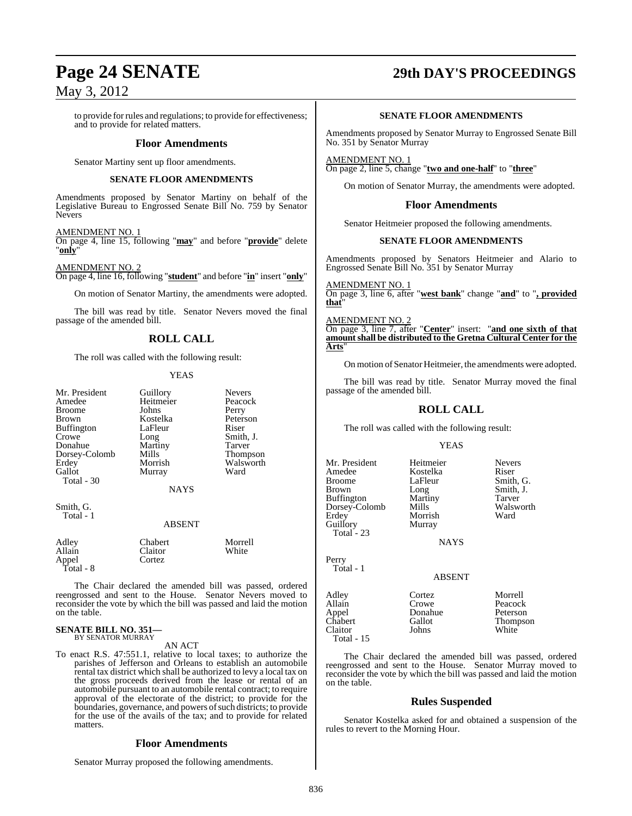to provide forrules and regulations; to provide for effectiveness; and to provide for related matters.

#### **Floor Amendments**

Senator Martiny sent up floor amendments.

#### **SENATE FLOOR AMENDMENTS**

Amendments proposed by Senator Martiny on behalf of the Legislative Bureau to Engrossed Senate Bill No. 759 by Senator Nevers

#### AMENDMENT NO. 1

On page 4, line 15, following "**may**" and before "**provide**" delete "**only**"

AMENDMENT NO. 2

On page 4, line 16, following "**student**" and before "**in**" insert "**only**"

On motion of Senator Martiny, the amendments were adopted.

The bill was read by title. Senator Nevers moved the final passage of the amended bill.

### **ROLL CALL**

The roll was called with the following result:

#### YEAS

|           | Neve             |
|-----------|------------------|
| Heitmeier | Peaco            |
| Johns     | Perry            |
| Kostelka  | Peter            |
| LaFleur   | Riser            |
|           | Smith            |
| Martiny   | Tarve            |
| Mills     | Thon             |
| Morrish   | Wals             |
| Murray    | Ward             |
|           |                  |
|           | Guillory<br>Long |

Guillory Nevers<br>
Heitmeier Peacock Heitmeier Peaco<br>
Johns Perry Kostelka Peterson<br>LaFleur Riser LaFleur<br>Long Martiny<br>Mills Mills Thompson<br>
Morrish Walsworth Murray

Smith, J.<br>Tarver

Walsworth<br>Ward

#### NAYS

Smith, G. Total - 1

#### ABSENT

| Adley<br>Allain | Chabert<br>Claitor | Morrell<br>White |
|-----------------|--------------------|------------------|
| Appel           | Cortez             |                  |
| Total - 8       |                    |                  |

The Chair declared the amended bill was passed, ordered reengrossed and sent to the House. Senator Nevers moved to reconsider the vote by which the bill was passed and laid the motion on the table.

### **SENATE BILL NO. 351—**

BY SENATOR MURRAY AN ACT

- 
- To enact R.S. 47:551.1, relative to local taxes; to authorize the parishes of Jefferson and Orleans to establish an automobile rental tax district which shall be authorized to levy a local tax on the gross proceeds derived from the lease or rental of an automobile pursuant to an automobile rental contract; to require approval of the electorate of the district; to provide for the boundaries, governance, and powers of such districts; to provide for the use of the avails of the tax; and to provide for related matters.

### **Floor Amendments**

Senator Murray proposed the following amendments.

# **Page 24 SENATE 29th DAY'S PROCEEDINGS**

#### **SENATE FLOOR AMENDMENTS**

Amendments proposed by Senator Murray to Engrossed Senate Bill No. 351 by Senator Murray

AMENDMENT NO. 1 On page 2, line 5, change "**two and one-half**" to "**three**"

On motion of Senator Murray, the amendments were adopted.

#### **Floor Amendments**

Senator Heitmeier proposed the following amendments.

#### **SENATE FLOOR AMENDMENTS**

Amendments proposed by Senators Heitmeier and Alario to Engrossed Senate Bill No. 351 by Senator Murray

AMENDMENT NO. 1 On page 3, line 6, after "**west bank**" change "**and**" to "**, provided that**"

AMENDMENT NO. 2

On page 3, line 7, after "**Center**" insert: "**and one sixth of that amountshall be distributed to the Gretna Cultural Center for the Arts**"

On motion ofSenator Heitmeier, the amendments were adopted.

The bill was read by title. Senator Murray moved the final passage of the amended bill.

### **ROLL CALL**

The roll was called with the following result:

Morrish<br>Murray

#### YEAS

Mr. President Heitmeier Nevers<br>Amedee Kostelka Riser Amedee Kostelka<br>Broome LaFleur Broome LaFleur Smith, G.<br>Brown Long Smith, J. Buffington Martiny Tarver Dorsey-Colomb Mills Walsworth<br>Erdey Morrish Ward Guillory Total - 23

Long Smith, J.<br>Martiny Tarver

NAYS

### ABSENT

Adley Cortez Morrell<br>
Allain Crowe Peacock Appel Donahue<br>Chabert Gallot Claitor Total - 15

Perry Total - 1

Peacock<br>Peterson Chabert Gallot Thompson

The Chair declared the amended bill was passed, ordered reengrossed and sent to the House. Senator Murray moved to reconsider the vote by which the bill was passed and laid the motion on the table.

#### **Rules Suspended**

Senator Kostelka asked for and obtained a suspension of the rules to revert to the Morning Hour.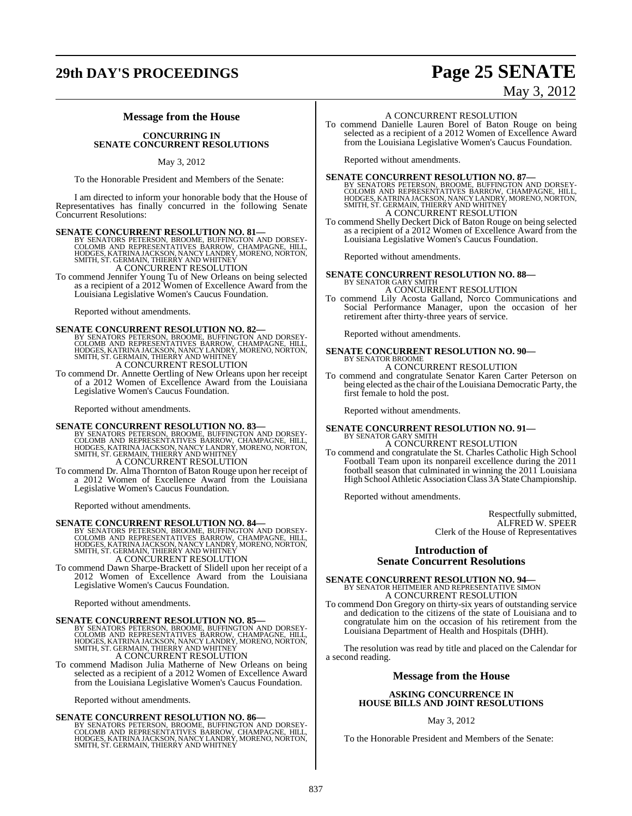### **29th DAY'S PROCEEDINGS Page 25 SENATE**

#### **Message from the House**

#### **CONCURRING IN SENATE CONCURRENT RESOLUTIONS**

#### May 3, 2012

To the Honorable President and Members of the Senate:

I am directed to inform your honorable body that the House of Representatives has finally concurred in the following Senate Concurrent Resolutions:

SENATE CONCURRENT RESOLUTION NO. 81—BY SENATORS PETERSON, BROOME, BUFFINGTON AND DORSEY-COLOMB AND REPRESENTATIVES BARROW, CHAMPAGNE, HILL, HODGES, KATRINA JACKSON, NANCY LANDRY, MORENO, NORTON, SMITH, ST. GERMAIN, THIERRY A CONCURRENT RESOLUTION

To commend Jennifer Young Tu of New Orleans on being selected as a recipient of a 2012 Women of Excellence Award from the Louisiana Legislative Women's Caucus Foundation.

Reported without amendments.

SENATE CONCURRENT RESOLUTION NO. 82—BY SENATORS PETERSON, BROOME, BUFFINGTON AND DORSEY-COLOMB AND REPRESENTATIVES BARROW, CHAMPAGNE, HILL, HODGES, KATRINA JACKSON, NANCY LANDRY, MORENO, NORTON, SMITH, ST. GERMAIN, THIERRY A CONCURRENT RESOLUTION

To commend Dr. Annette Oertling of New Orleans upon her receipt of a 2012 Women of Excellence Award from the Louisiana Legislative Women's Caucus Foundation.

Reported without amendments.

SENATE CONCURRENT RESOLUTION NO. 83—BY SENATORS PETERSON, BROOME, BUFFINGTON AND DORSEY-COLOMB AND HOREST HULL, HOOGES, KATRINA JACKSON, NANCY LANDRY, MORENO, NORTON, SMITH, ST. GERMAIN, THIERRY AND WHITNEY A CONCURRENT RESOLUTION

To commend Dr. Alma Thornton of Baton Rouge upon her receipt of a 2012 Women of Excellence Award from the Louisiana Legislative Women's Caucus Foundation.

Reported without amendments.

# SENATE CONCURRENT RESOLUTION NO. 84<br>BY SENATORS PETERSON, BROOME, BUFFINGTON AND DORSEY-COLOMB AND REPRESENTATIVES BARROW, CHAMPAGNE, HILL,<br>HODGES, KATRINA JACKSON, NANCY LANDRY, MORENO, NORTON,<br>SMITH, ST. GERMAIN, THIERRY A CONCURRENT RESOLUTION

To commend Dawn Sharpe-Brackett of Slidell upon her receipt of a 2012 Women of Excellence Award from the Louisiana Legislative Women's Caucus Foundation.

Reported without amendments.

#### **SENATE CONCURRENT RESOLUTION NO. 85—**

BY SENATORS PETERSON, BROOME, BUFFINGTON AND DORSEY-COLOMB AND REPRESENTATIVES BARROW, CHAMPAGNE, HILL,<br>HODGES, KATRINA JACKSON, NANCY LANDRY, MORENO, NORTON,<br>HODGES, KATRINA JACKSON, NANCY LANDRY, MORENO, NORTON,<br>SMITH, S

To commend Madison Julia Matherne of New Orleans on being selected as a recipient of a 2012 Women of Excellence Award from the Louisiana Legislative Women's Caucus Foundation.

Reported without amendments.

#### **SENATE CONCURRENT RESOLUTION NO. 86—**

BY SENATORS PETERSON, BROOME, BUFFINGTON AND DORSEY-<br>COLOMB AND REPRESENTATIVES BARROW, CHAMPAGNE, HILL,<br>HODGES, KATRINA JACKSON, NANCY LANDRY, MORENO, NORTON,<br>SMITH, ST. GERMAIN, THIERRY AND WHITNEY

May 3, 2012

#### A CONCURRENT RESOLUTION

To commend Danielle Lauren Borel of Baton Rouge on being selected as a recipient of a 2012 Women of Excellence Award from the Louisiana Legislative Women's Caucus Foundation.

Reported without amendments.

SENATE CONCURRENT RESOLUTION NO. 87—BY SENATORS PETERSON, BROOME, BUFFINGTON AND DORSEY-COLOMB AND REPRESENTATIVES BARROW, CHAMPAGNE, HILL, HOOGES, KATRINA JACKSON, NANCY LANDRY, MORENO, NORTON, SMITH, ST. GERMAIN, THIERRY A CONCURRENT RESOLUTION

To commend Shelly Deckert Dick of Baton Rouge on being selected as a recipient of a 2012 Women of Excellence Award from the Louisiana Legislative Women's Caucus Foundation.

Reported without amendments.

# **SENATE CONCURRENT RESOLUTION NO. 88—** BY SENATOR GARY SMITH

#### A CONCURRENT RESOLUTION

To commend Lily Acosta Galland, Norco Communications and Social Performance Manager, upon the occasion of her retirement after thirty-three years of service.

Reported without amendments.

#### **SENATE CONCURRENT RESOLUTION NO. 90—** BY SENATOR BROOME

#### A CONCURRENT RESOLUTION

To commend and congratulate Senator Karen Carter Peterson on being elected as the chair of the Louisiana Democratic Party, the first female to hold the post.

Reported without amendments.

# **SENATE CONCURRENT RESOLUTION NO. 91—**<br>BY SENATOR GARY SMITH A CONCURRENT RESOLUTION

To commend and congratulate the St. Charles Catholic High School Football Team upon its nonpareil excellence during the 2011 football season that culminated in winning the 2011 Louisiana High School Athletic Association Class 3A State Championship.

Reported without amendments.

Respectfully submitted, ALFRED W. SPEER Clerk of the House of Representatives

### **Introduction of Senate Concurrent Resolutions**

### **SENATE CONCURRENT RESOLUTION NO. 94—**<br>BY SENATOR HEITMEIER AND REPRESENTATIVE SIMON

A CONCURRENT RESOLUTION

To commend Don Gregory on thirty-six years of outstanding service and dedication to the citizens of the state of Louisiana and to congratulate him on the occasion of his retirement from the Louisiana Department of Health and Hospitals (DHH).

The resolution was read by title and placed on the Calendar for a second reading.

#### **Message from the House**

#### **ASKING CONCURRENCE IN HOUSE BILLS AND JOINT RESOLUTIONS**

#### May 3, 2012

To the Honorable President and Members of the Senate: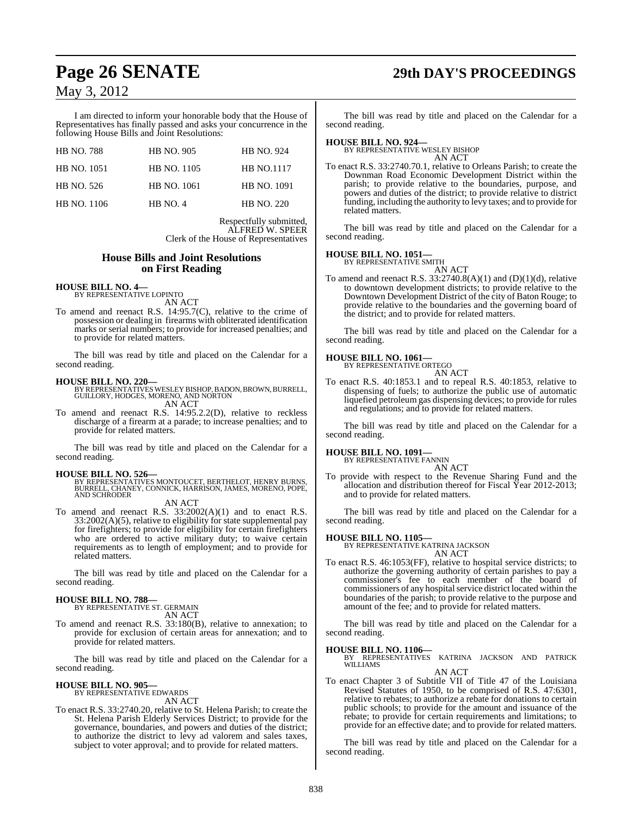## **Page 26 SENATE 29th DAY'S PROCEEDINGS**

### May 3, 2012

I am directed to inform your honorable body that the House of Representatives has finally passed and asks your concurrence in the following House Bills and Joint Resolutions:

| <b>HB NO. 788</b>  | <b>HB NO. 905</b>  | <b>HB NO. 924</b> |
|--------------------|--------------------|-------------------|
| <b>HB NO. 1051</b> | <b>HB NO. 1105</b> | <b>HB NO.1117</b> |
| HB NO. 526         | <b>HB NO. 1061</b> | HB NO. 1091       |
| <b>HB</b> NO. 1106 | HB NO. 4           | <b>HB NO. 220</b> |

Respectfully submitted, ALFRED W. SPEER Clerk of the House of Representatives

#### **House Bills and Joint Resolutions on First Reading**

**HOUSE BILL NO. 4—** BY REPRESENTATIVE LOPINTO AN ACT

To amend and reenact R.S. 14:95.7(C), relative to the crime of possession or dealing in firearms with obliterated identification marks or serial numbers; to provide for increased penalties; and to provide for related matters.

The bill was read by title and placed on the Calendar for a second reading.

**HOUSE BILL NO. 220—** BY REPRESENTATIVESWESLEY BISHOP,BADON, BROWN, BURRELL, GUILLORY, HODGES, MORENO, AND NORTON AN ACT

To amend and reenact R.S. 14:95.2.2(D), relative to reckless discharge of a firearm at a parade; to increase penalties; and to provide for related matters.

The bill was read by title and placed on the Calendar for a second reading.

**HOUSE BILL NO. 526—** BY REPRESENTATIVES MONTOUCET, BERTHELOT, HENRY BURNS, BURRELL, CHANEY, CONNICK, HARRISON, JAMES, MORENO, POPE, AND SCHRODER AN ACT

To amend and reenact R.S. 33:2002(A)(1) and to enact R.S. 33:2002(A)(5), relative to eligibility for state supplemental pay for firefighters; to provide for eligibility for certain firefighters who are ordered to active military duty; to waive certain requirements as to length of employment; and to provide for related matters.

The bill was read by title and placed on the Calendar for a second reading.

#### **HOUSE BILL NO. 788—**

BY REPRESENTATIVE ST. GERMAIN

AN ACT

To amend and reenact R.S. 33:180(B), relative to annexation; to provide for exclusion of certain areas for annexation; and to provide for related matters.

The bill was read by title and placed on the Calendar for a second reading.

#### **HOUSE BILL NO. 905—** BY REPRESENTATIVE EDWARDS

AN ACT

To enact R.S. 33:2740.20, relative to St. Helena Parish; to create the St. Helena Parish Elderly Services District; to provide for the governance, boundaries, and powers and duties of the district; to authorize the district to levy ad valorem and sales taxes, subject to voter approval; and to provide for related matters.

The bill was read by title and placed on the Calendar for a second reading.

### **HOUSE BILL NO. 924—** BY REPRESENTATIVE WESLEY BISHOP

AN ACT

To enact R.S. 33:2740.70.1, relative to Orleans Parish; to create the Downman Road Economic Development District within the parish; to provide relative to the boundaries, purpose, and powers and duties of the district; to provide relative to district funding, including the authority to levy taxes; and to provide for related matters.

The bill was read by title and placed on the Calendar for a second reading.

**HOUSE BILL NO. 1051—** BY REPRESENTATIVE SMITH

AN ACT To amend and reenact R.S.  $33:2740.8(A)(1)$  and  $(D)(1)(d)$ , relative to downtown development districts; to provide relative to the Downtown Development District of the city of Baton Rouge; to provide relative to the boundaries and the governing board of the district; and to provide for related matters.

The bill was read by title and placed on the Calendar for a second reading.

#### **HOUSE BILL NO. 1061—**

BY REPRESENTATIVE ORTEGO AN ACT

To enact R.S. 40:1853.1 and to repeal R.S. 40:1853, relative to dispensing of fuels; to authorize the public use of automatic liquefied petroleum gas dispensing devices; to provide for rules and regulations; and to provide for related matters.

The bill was read by title and placed on the Calendar for a second reading.

### **HOUSE BILL NO. 1091—** BY REPRESENTATIVE FANNIN

AN ACT

To provide with respect to the Revenue Sharing Fund and the allocation and distribution thereof for Fiscal Year 2012-2013; and to provide for related matters.

The bill was read by title and placed on the Calendar for a second reading.

#### **HOUSE BILL NO. 1105—**

BY REPRESENTATIVE KATRINA JACKSON AN ACT

To enact R.S. 46:1053(FF), relative to hospital service districts; to authorize the governing authority of certain parishes to pay a commissioner's fee to each member of the board of commissioners of any hospital service district located within the boundaries of the parish; to provide relative to the purpose and amount of the fee; and to provide for related matters.

The bill was read by title and placed on the Calendar for a second reading.

**HOUSE BILL NO. 1106—**

BY REPRESENTATIVES KATRINA JACKSON AND PATRICK WILLIAMS AN ACT

To enact Chapter 3 of Subtitle VII of Title 47 of the Louisiana Revised Statutes of 1950, to be comprised of R.S. 47:6301, relative to rebates; to authorize a rebate for donations to certain public schools; to provide for the amount and issuance of the rebate; to provide for certain requirements and limitations; to provide for an effective date; and to provide for related matters.

The bill was read by title and placed on the Calendar for a second reading.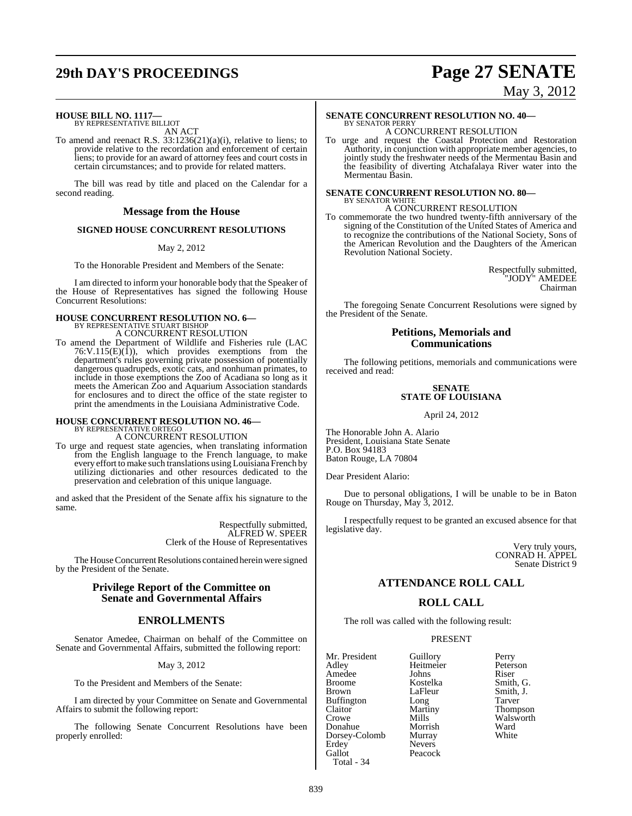# **29th DAY'S PROCEEDINGS Page 27 SENATE**

# May 3, 2012

### **HOUSE BILL NO. 1117—**

BY REPRESENTATIVE BILLIOT AN ACT

To amend and reenact R.S. 33:1236(21)(a)(i), relative to liens; to provide relative to the recordation and enforcement of certain liens; to provide for an award of attorney fees and court costs in certain circumstances; and to provide for related matters.

The bill was read by title and placed on the Calendar for a second reading.

#### **Message from the House**

#### **SIGNED HOUSE CONCURRENT RESOLUTIONS**

#### May 2, 2012

To the Honorable President and Members of the Senate:

I am directed to inform your honorable body that the Speaker of the House of Representatives has signed the following House Concurrent Resolutions:

#### **HOUSE CONCURRENT RESOLUTION NO. 6—** BY REPRESENTATIVE STUART BISHOP

A CONCURRENT RESOLUTION

To amend the Department of Wildlife and Fisheries rule (LAC  $76:V.115(E)(1)$ , which provides exemptions from the department's rules governing private possession of potentially dangerous quadrupeds, exotic cats, and nonhuman primates, to include in those exemptions the Zoo of Acadiana so long as it meets the American Zoo and Aquarium Association standards for enclosures and to direct the office of the state register to print the amendments in the Louisiana Administrative Code.

# **HOUSE CONCURRENT RESOLUTION NO. 46—** BY REPRESENTATIVE ORTEGO

A CONCURRENT RESOLUTION

To urge and request state agencies, when translating information from the English language to the French language, to make every effort to make such translations using Louisiana French by utilizing dictionaries and other resources dedicated to the preservation and celebration of this unique language.

and asked that the President of the Senate affix his signature to the same.

> Respectfully submitted, ALFRED W. SPEER Clerk of the House of Representatives

The House Concurrent Resolutions contained herein were signed by the President of the Senate.

### **Privilege Report of the Committee on Senate and Governmental Affairs**

### **ENROLLMENTS**

Senator Amedee, Chairman on behalf of the Committee on Senate and Governmental Affairs, submitted the following report:

May 3, 2012

To the President and Members of the Senate:

I am directed by your Committee on Senate and Governmental Affairs to submit the following report:

The following Senate Concurrent Resolutions have been properly enrolled:

#### **SENATE CONCURRENT RESOLUTION NO. 40—** BY SENATOR PERRY

A CONCURRENT RESOLUTION

To urge and request the Coastal Protection and Restoration Authority, in conjunction with appropriate member agencies, to jointly study the freshwater needs of the Mermentau Basin and the feasibility of diverting Atchafalaya River water into the Mermentau Basin.

#### **SENATE CONCURRENT RESOLUTION NO. 80—** BY SENATOR WHITE A CONCURRENT RESOLUTION

To commemorate the two hundred twenty-fifth anniversary of the signing of the Constitution of the United States of America and to recognize the contributions of the National Society, Sons of the American Revolution and the Daughters of the American Revolution National Society.

> Respectfully submitted, "JODY" AMEDEE Chairman

The foregoing Senate Concurrent Resolutions were signed by the President of the Senate.

#### **Petitions, Memorials and Communications**

The following petitions, memorials and communications were received and read:

#### **SENATE STATE OF LOUISIANA**

April 24, 2012

The Honorable John A. Alario President, Louisiana State Senate P.O. Box 94183 Baton Rouge, LA 70804

Dear President Alario:

Due to personal obligations, I will be unable to be in Baton Rouge on Thursday, May 3, 2012.

I respectfully request to be granted an excused absence for that legislative day.

> Very truly yours, CONRAD H. APPEL Senate District 9

### **ATTENDANCE ROLL CALL**

### **ROLL CALL**

The roll was called with the following result:

Peacock

#### PRESENT

Mr. President Guillory Perry<br>Adley Heitmeier Peterson Amedee Johns<br>Broome Kostelka Broome Kostelka Smith, G. Buffington Long Tarver<br>Claitor Martiny Thomp Claitor Martiny Thompson<br>Crowe Mills Walsworth Donahue Morrish Ward<br>Dorsey-Colomb Murray White Dorsey-Colomb<br>Erdey Erdey Nevers<br>Gallot Peacoc Total - 34

Heitmeier Peters<br>
Johns Riser Smith, J. Mills Walsworth<br>
Morrish Ward